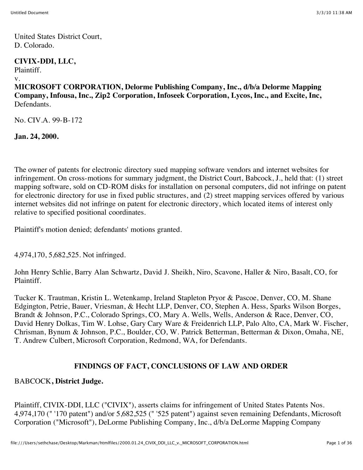United States District Court, D. Colorado.

### **CIVIX-DDI, LLC,**

Plaintiff.

#### v.

**MICROSOFT CORPORATION, Delorme Publishing Company, Inc., d/b/a Delorme Mapping Company, Infousa, Inc., Zip2 Corporation, Infoseek Corporation, Lycos, Inc., and Excite, Inc,** Defendants.

No. CIV.A. 99-B-172

**Jan. 24, 2000.**

The owner of patents for electronic directory sued mapping software vendors and internet websites for infringement. On cross-motions for summary judgment, the District Court, Babcock, J., held that: (1) street mapping software, sold on CD-ROM disks for installation on personal computers, did not infringe on patent for electronic directory for use in fixed public structures, and (2) street mapping services offered by various internet websites did not infringe on patent for electronic directory, which located items of interest only relative to specified positional coordinates.

Plaintiff's motion denied; defendants' motions granted.

4,974,170, 5,682,525. Not infringed.

John Henry Schlie, Barry Alan Schwartz, David J. Sheikh, Niro, Scavone, Haller & Niro, Basalt, CO, for Plaintiff.

Tucker K. Trautman, Kristin L. Wetenkamp, Ireland Stapleton Pryor & Pascoe, Denver, CO, M. Shane Edgington, Petrie, Bauer, Vriesman, & Hecht LLP, Denver, CO, Stephen A. Hess, Sparks Wilson Borges, Brandt & Johnson, P.C., Colorado Springs, CO, Mary A. Wells, Wells, Anderson & Race, Denver, CO, David Henry Dolkas, Tim W. Lohse, Gary Cary Ware & Freidenrich LLP, Palo Alto, CA, Mark W. Fischer, Chrisman, Bynum & Johnson, P.C., Boulder, CO, W. Patrick Betterman, Betterman & Dixon, Omaha, NE, T. Andrew Culbert, Microsoft Corporation, Redmond, WA, for Defendants.

## **FINDINGS OF FACT, CONCLUSIONS OF LAW AND ORDER**

## BABCOCK**, District Judge.**

Plaintiff, CIVIX-DDI, LLC ("CIVIX"), asserts claims for infringement of United States Patents Nos. 4,974,170 (" '170 patent") and/or 5,682,525 (" '525 patent") against seven remaining Defendants, Microsoft Corporation ("Microsoft"), DeLorme Publishing Company, Inc., d/b/a DeLorme Mapping Company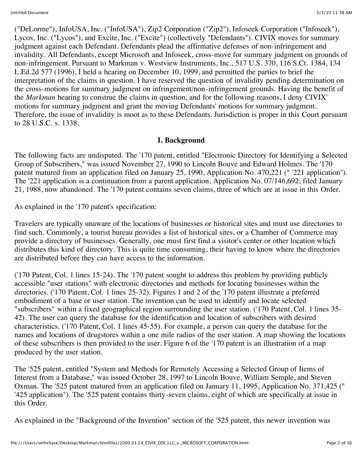("DeLorme"), InfoUSA, Inc. ("InfoUSA"), Zip2 Corporation ("Zip2"), Infoseek Corporation ("Infoseek"), Lycos, Inc. ("Lycos"), and Excite, Inc. ("Excite") (collectively "Defendants"). CIVIX moves for summary judgment against each Defendant. Defendants plead the affirmative defenses of non-infringement and invalidity. All Defendants, except Microsoft and Infoseek, cross-move for summary judgment on grounds of non-infringement. Pursuant to Markman v. Westview Instruments, Inc., 517 U.S. 370, 116 S.Ct. 1384, 134 L.Ed.2d 577 (1996), I held a hearing on December 10, 1999, and permitted the parties to brief the interpretation of the claims in question. I have reserved the question of invalidity pending determination on the cross-motions for summary judgment on infringement/non-infringement grounds. Having the benefit of the *Markman* hearing to construe the claims in question, and for the following reasons, I deny CIVIX' motions for summary judgment and grant the moving Defendants' motions for summary judgment. Therefore, the issue of invalidity is moot as to these Defendants. Jurisdiction is proper in this Court pursuant to 28 U.S.C. s. 1338.

#### **I. Background**

The following facts are undisputed. The '170 patent, entitled "Electronic Directory for Identifying a Selected Group of Subscribers," was issued November 27, 1990 to Lincoln Bouve and Edward Holmes. The '170 patent matured from an application filed on January 25, 1990, Application No. 470,221 (" '221 application''). The '221 application is a continuation from a parent application, Application No. 07/146,692, filed January 21, 1988, now abandoned. The '170 patent contains seven claims, three of which are at issue in this Order.

As explained in the '170 patent's specification:

Travelers are typically unaware of the locations of businesses or historical sites and must use directories to find such. Commonly, a tourist bureau provides a list of historical sites, or a Chamber of Commerce may provide a directory of businesses. Generally, one must first find a visitor's center or other location which distributes this kind of directory. This is quite time consuming, their having to know where the directories are distributed before they can have access to the information.

('170 Patent, Col. 1 lines 15-24). The '170 patent sought to address this problem by providing publicly accessible "user stations" with electronic directories and methods for locating businesses within the directories. ('170 Patent, Col. 1 lines 25-32). Figures 1 and 2 of the '170 patent illustrate a preferred embodiment of a base or user station. The invention can be used to identify and locate selected "subscribers" within a fixed geographical region surrounding the user station. ('170 Patent, Col. 1 lines 35- 42). The user can query the database for the identification and location of subscribers with desired characteristics. ('170 Patent, Col. 1 lines 45-55). For example, a person can query the database for the names and locations of drugstores within a one mile radius of the user station. A map showing the locations of these subscribers is then provided to the user. Figure 6 of the '170 patent is an illustration of a map produced by the user station.

The '525 patent, entitled "System and Methods for Remotely Accessing a Selected Group of Items of Interest from a Database," was issued October 28, 1997 to Lincoln Bouve, William Semple, and Steven Oxman. The '525 patent matured from an application filed on January 11, 1995, Application No. 371,425 (" '425 application"). The '525 patent contains thirty-seven claims, eight of which are specifically at issue in this Order.

As explained in the "Background of the Invention" section of the '525 patent, this newer invention was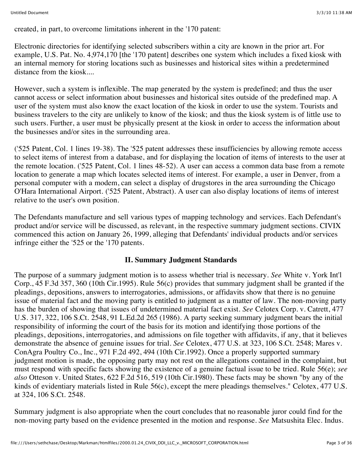created, in part, to overcome limitations inherent in the '170 patent:

Electronic directories for identifying selected subscribers within a city are known in the prior art. For example, U.S. Pat. No. 4,974,170 [the '170 patent] describes one system which includes a fixed kiosk with an internal memory for storing locations such as businesses and historical sites within a predetermined distance from the kiosk....

However, such a system is inflexible. The map generated by the system is predefined; and thus the user cannot access or select information about businesses and historical sites outside of the predefined map. A user of the system must also know the exact location of the kiosk in order to use the system. Tourists and business travelers to the city are unlikely to know of the kiosk; and thus the kiosk system is of little use to such users. Further, a user must be physically present at the kiosk in order to access the information about the businesses and/or sites in the surrounding area.

('525 Patent, Col. 1 lines 19-38). The '525 patent addresses these insufficiencies by allowing remote access to select items of interest from a database, and for displaying the location of items of interests to the user at the remote location. ('525 Patent, Col. 1 lines 48-52). A user can access a common data base from a remote location to generate a map which locates selected items of interest. For example, a user in Denver, from a personal computer with a modem, can select a display of drugstores in the area surrounding the Chicago O'Hara International Airport. ('525 Patent, Abstract). A user can also display locations of items of interest relative to the user's own position.

The Defendants manufacture and sell various types of mapping technology and services. Each Defendant's product and/or service will be discussed, as relevant, in the respective summary judgment sections. CIVIX commenced this action on January 26, 1999, alleging that Defendants' individual products and/or services infringe either the '525 or the '170 patents.

## **II. Summary Judgment Standards**

The purpose of a summary judgment motion is to assess whether trial is necessary. *See* White v. York Int'l Corp., 45 F.3d 357, 360 (10th Cir.1995). Rule 56(c) provides that summary judgment shall be granted if the pleadings, depositions, answers to interrogatories, admissions, or affidavits show that there is no genuine issue of material fact and the moving party is entitled to judgment as a matter of law. The non-moving party has the burden of showing that issues of undetermined material fact exist. *See* Celotex Corp. v. Catrett, 477 U.S. 317, 322, 106 S.Ct. 2548, 91 L.Ed.2d 265 (1986). A party seeking summary judgment bears the initial responsibility of informing the court of the basis for its motion and identifying those portions of the pleadings, depositions, interrogatories, and admissions on file together with affidavits, if any, that it believes demonstrate the absence of genuine issues for trial. *See* Celotex, 477 U.S. at 323, 106 S.Ct. 2548; Mares v. ConAgra Poultry Co., Inc., 971 F.2d 492, 494 (10th Cir.1992). Once a properly supported summary judgment motion is made, the opposing party may not rest on the allegations contained in the complaint, but must respond with specific facts showing the existence of a genuine factual issue to be tried. Rule 56(e); *see also* Otteson v. United States, 622 F.2d 516, 519 (10th Cir.1980). These facts may be shown "by any of the kinds of evidentiary materials listed in Rule 56(c), except the mere pleadings themselves." Celotex, 477 U.S. at 324, 106 S.Ct. 2548.

Summary judgment is also appropriate when the court concludes that no reasonable juror could find for the non-moving party based on the evidence presented in the motion and response. *See* Matsushita Elec. Indus.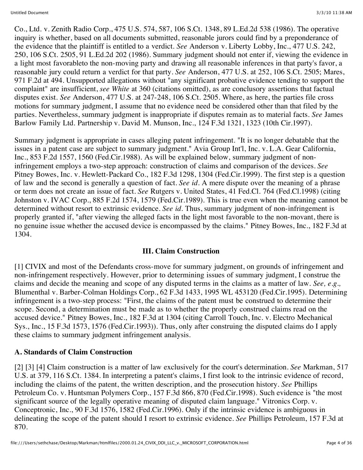Co., Ltd. v. Zenith Radio Corp., 475 U.S. 574, 587, 106 S.Ct. 1348, 89 L.Ed.2d 538 (1986). The operative inquiry is whether, based on all documents submitted, reasonable jurors could find by a preponderance of the evidence that the plaintiff is entitled to a verdict. *See* Anderson v. Liberty Lobby, Inc., 477 U.S. 242, 250, 106 S.Ct. 2505, 91 L.Ed.2d 202 (1986). Summary judgment should not enter if, viewing the evidence in a light most favorableto the non-moving party and drawing all reasonable inferences in that party's favor, a reasonable jury could return a verdict for that party. *See* Anderson, 477 U.S. at 252, 106 S.Ct. 2505; Mares, 971 F.2d at 494. Unsupported allegations without "any significant probative evidence tending to support the complaint" are insufficient, *see White* at 360 (citations omitted), as are conclusory assertions that factual disputes exist. *See* Anderson, 477 U.S. at 247-248, 106 S.Ct. 2505. Where, as here, the parties file cross motions for summary judgment, I assume that no evidence need be considered other than that filed by the parties. Nevertheless, summary judgment is inappropriate if disputes remain as to material facts. *See* James Barlow Family Ltd. Partnership v. David M. Munson, Inc., 124 F.3d 1321, 1323 (10th Cir.1997).

Summary judgment is appropriate in cases alleging patent infringement. "It is no longer debatable that the issues in a patent case are subject to summary judgment." Avia Group Int'l, Inc. v. L.A. Gear California, Inc., 853 F.2d 1557, 1560 (Fed.Cir.1988). As will be explained below, summary judgment of noninfringement employs a two-step approach: construction of claims and comparison of the devices. *See* Pitney Bowes, Inc. v. Hewlett-Packard Co., 182 F.3d 1298, 1304 (Fed.Cir.1999). The first step is a question of law and the second is generally a question of fact. *See id.* A mere dispute over the meaning of a phrase or term does not create an issue of fact. *See* Rutgers v. United States, 41 Fed.Cl. 764 (Fed.Cl.1998) (citing Johnston v. IVAC Corp., 885 F.2d 1574, 1579 (Fed.Cir.1989). This is true even when the meaning cannot be determined without resort to extrinsic evidence. *See id.* Thus, summary judgment of non-infringement is properly granted if, "after viewing the alleged facts in the light most favorable to the non-movant, there is no genuine issue whether the accused device is encompassed by the claims." Pitney Bowes, Inc., 182 F.3d at 1304.

#### **III. Claim Construction**

[1] CIVIX and most of the Defendants cross-move for summary judgment, on grounds of infringement and non-infringement respectively. However, prior to determining issues of summary judgment, I construe the claims and decide the meaning and scope of any disputed terms in the claims as a matter of law. *See, e.g.,* Blumenthal v. Barber-Colman Holdings Corp., 62 F.3d 1433, 1995 WL 453120 (Fed.Cir.1995). Determining infringement is a two-step process: "First, the claims of the patent must be construed to determine their scope. Second, a determination must be made as to whether the properly construed claims read on the accused device." Pitney Bowes, Inc., 182 F.3d at 1304 (citing Carroll Touch, Inc. v. Electro Mechanical Sys., Inc., 15 F.3d 1573, 1576 (Fed.Cir.1993)). Thus, only after construing the disputed claims do I apply these claims to summary judgment infringement analysis.

#### **A. Standards of Claim Construction**

[2] [3] [4] Claim construction is a matter of law exclusively for the court's determination. *See* Markman, 517 U.S. at 379, 116 S.Ct. 1384. In interpreting a patent's claims, I first look to the intrinsic evidence of record, including the claims of the patent, the written description, and the prosecution history. *See* Phillips Petroleum Co. v. Huntsman Polymers Corp., 157 F.3d 866, 870 (Fed.Cir.1998). Such evidence is "the most significant source of the legally operative meaning of disputed claim language." Vitronics Corp. v. Conceptronic, Inc., 90 F.3d 1576, 1582 (Fed.Cir.1996). Only if the intrinsic evidence is ambiguous in delineating the scope of the patent should I resort to extrinsic evidence. *See* Phillips Petroleum, 157 F.3d at 870.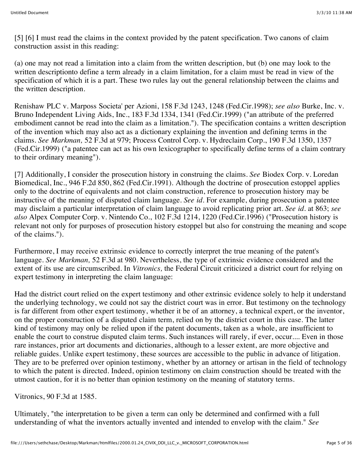[5] [6] I must read the claims in the context provided by the patent specification. Two canons of claim construction assist in this reading:

(a) one may not read a limitation into a claim from the written description, but (b) one may look to the written descriptionto define a term already in a claim limitation, for a claim must be read in view of the specification of which it is a part. These two rules lay out the general relationship between the claims and the written description.

Renishaw PLC v. Marposs Societa' per Azioni, 158 F.3d 1243, 1248 (Fed.Cir.1998); *see also* Burke, Inc. v. Bruno Independent Living Aids, Inc., 183 F.3d 1334, 1341 (Fed.Cir.1999) ("an attribute of the preferred embodiment cannot be read into the claim as a limitation."). The specification contains a written description of the invention which may also act as a dictionary explaining the invention and defining terms in the claims. *See Markman,* 52 F.3d at 979; Process Control Corp. v. Hydreclaim Corp., 190 F.3d 1350, 1357 (Fed.Cir.1999) ("a patentee can act as his own lexicographer to specifically define terms of a claim contrary to their ordinary meaning").

[7] Additionally, I consider the prosecution history in construing the claims. *See* Biodex Corp. v. Loredan Biomedical, Inc., 946 F.2d 850, 862 (Fed.Cir.1991). Although the doctrine of prosecution estoppel applies only to the doctrine of equivalents and not claim construction, reference to prosecution history may be instructive of the meaning of disputed claim language. *See id.* For example, during prosecution a patentee may disclaim a particular interpretation of claim language to avoid replicating prior art. *See id.* at 863; *see also* Alpex Computer Corp. v. Nintendo Co., 102 F.3d 1214, 1220 (Fed.Cir.1996) ("Prosecution history is relevant not only for purposes of prosecution history estoppel but also for construing the meaning and scope of the claims.").

Furthermore, I may receive extrinsic evidence to correctly interpret the true meaning of the patent's language. *See Markman,* 52 F.3d at 980. Nevertheless, the type of extrinsic evidence considered and the extent of its use are circumscribed. In *Vitronics,* the Federal Circuit criticized a district court for relying on expert testimony in interpreting the claim language:

Had the district court relied on the expert testimony and other extrinsic evidence solely to help it understand the underlying technology, we could not say the district court was in error. But testimony on the technology is far different from other expert testimony, whether it be of an attorney, a technical expert, or the inventor, on the proper construction of a disputed claim term, relied on by the district court in this case. The latter kind of testimony may only be relied upon if the patent documents, taken as a whole, are insufficient to enable the court to construe disputed claim terms. Such instances will rarely, if ever, occur.... Even in those rare instances, prior art documents and dictionaries, although to a lesser extent, are more objective and reliable guides. Unlike expert testimony, these sources are accessible to the public in advance of litigation. They are to be preferred over opinion testimony, whether by an attorney or artisan in the field of technology to which the patent is directed. Indeed, opinion testimony on claim construction should be treated with the utmost caution, for it is no better than opinion testimony on the meaning of statutory terms.

Vitronics, 90 F.3d at 1585.

Ultimately, "the interpretation to be given a term can only be determined and confirmed with a full understanding of what the inventors actually invented and intended to envelop with the claim." *See*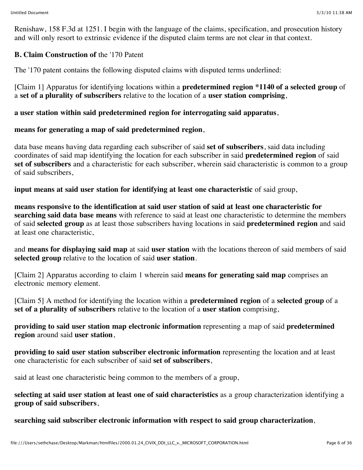Renishaw, 158 F.3d at 1251. I begin with the language of the claims, specification, and prosecution history and will only resort to extrinsic evidence if the disputed claim terms are not clear in that context.

### **B. Claim Construction of the '170 Patent**

The '170 patent contains the following disputed claims with disputed terms underlined:

[Claim 1] Apparatus for identifying locations within a **predetermined region \*1140 of a selected group** of a **set of a plurality of subscribers** relative to the location of a **user station comprising**,

#### **a user station within said predetermined region for interrogating said apparatus**,

### **means for generating a map of said predetermined region**,

data base means having data regarding each subscriber of said **set of subscribers**, said data including coordinates of said map identifying the location for each subscriber in said **predetermined region** of said **set of subscribers** and a characteristic for each subscriber, wherein said characteristic is common to a group of said subscribers,

**input means at said user station for identifying at least one characteristic** of said group,

**means responsive to the identification at said user station of said at least one characteristic for searching said data base means** with reference to said at least one characteristic to determine the members of said **selected group** as at least those subscribers having locations in said **predetermined region** and said at least one characteristic,

and **means for displaying said map** at said **user station** with the locations thereon of said members of said **selected group** relative to the location of said **user station**.

[Claim 2] Apparatus according to claim 1 wherein said **means for generating said map** comprises an electronic memory element.

[Claim 5] A method for identifying the location within a **predetermined region** of a **selected group** of a **set of a plurality of subscribers** relative to the location of a **user station** comprising,

**providing to said user station map electronic information** representing a map of said **predetermined region** around said **user station**,

**providing to said user station subscriber electronic information** representing the location and at least one characteristic for each subscriber of said **set of subscribers**,

said at least one characteristic being common to the members of a group,

**selecting at said user station at least one of said characteristics** as a group characterization identifying a **group of said subscribers**,

**searching said subscriber electronic information with respect to said group characterization**,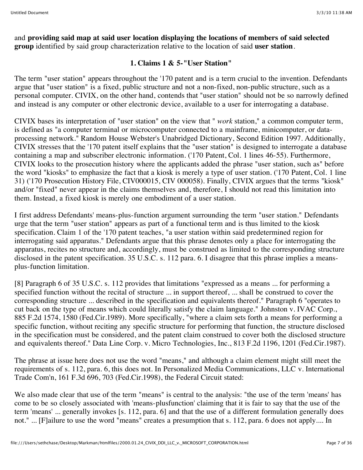and **providing said map at said user location displaying the locations of members of said selected group** identified by said group characterization relative to the location of said **user station**.

### **1. Claims 1 & 5-"User Station"**

The term "user station" appears throughout the '170 patent and is a term crucial to the invention. Defendants argue that "user station" is a fixed, public structure and not a non-fixed, non-public structure, such as a personal computer. CIVIX, on the other hand, contends that "user station" should not be so narrowly defined and instead is any computer or other electronic device, available to a user for interrogating a database.

CIVIX bases its interpretation of "user station" on the view that " *work* station," a common computer term, is defined as "a computer terminal or microcomputer connected to a mainframe, minicomputer, or dataprocessing network." Random House Webster's Unabridged Dictionary, Second Edition 1997. Additionally, CIVIX stresses that the '170 patent itself explains that the "user station" is designed to interrogate a database containing a map and subscriber electronic information. ('170 Patent, Col. 1 lines 46-55). Furthermore, CIVIX looks to the prosecution history where the applicants added the phrase "user station, such as" before the word "kiosks" to emphasize the fact that a kiosk is merely a type of user station. ('170 Patent, Col. 1 line 31) ('170 Prosecution History File, CIV000015, CIV 000058). Finally, CIVIX argues that the terms "kiosk" and/or "fixed" never appear in the claims themselves and, therefore, I should not read this limitation into them. Instead, a fixed kiosk is merely one embodiment of a user station.

I first address Defendants' means-plus-function argument surrounding the term "user station." Defendants urge that the term "user station" appears as part of a functional term and is thus limited to the kiosk specification. Claim 1 of the '170 patent teaches, "a user station within said predetermined region for interrogating said apparatus." Defendants argue that this phrase denotes only a place for interrogating the apparatus, recites no structure and, accordingly, must be construed as limited to the corresponding structure disclosed in the patent specification. 35 U.S.C. s. 112 para. 6. I disagree that this phrase implies a meansplus-function limitation.

[8] Paragraph 6 of 35 U.S.C. s. 112 provides that limitations "expressed as a means ... for performing a specified function without the recital of structure ... in support thereof, ... shall be construed to cover the corresponding structure ... described in the specification and equivalents thereof." Paragraph 6 "operates to cut back on the type of means which could literally satisfy the claim language." Johnston v. IVAC Corp., 885 F.2d 1574, 1580 (Fed.Cir.1989). More specifically, "where a claim sets forth a means for performing a specific function, without reciting any specific structure for performing that function, the structure disclosed in the specification must be considered, and the patent claim construed to cover both the disclosed structure and equivalents thereof." Data Line Corp. v. Micro Technologies, Inc., 813 F.2d 1196, 1201 (Fed.Cir.1987).

The phrase at issue here does not use the word "means," and although a claim element might still meet the requirements of s. 112, para. 6, this does not. In Personalized Media Communications, LLC v. International Trade Com'n, 161 F.3d 696, 703 (Fed.Cir.1998), the Federal Circuit stated:

We also made clear that use of the term "means" is central to the analysis: "the use of the term 'means' has come to be so closely associated with 'means-plusfunction' claiming that it is fair to say that the use of the term 'means' ... generally invokes [s. 112, para. 6] and that the use of a different formulation generally does not." ... [F]ailure to use the word "means" creates a presumption that s. 112, para. 6 does not apply.... In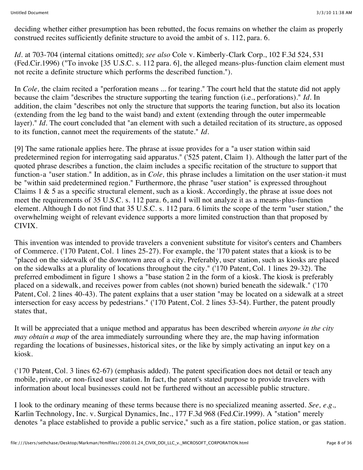deciding whether either presumption has been rebutted, the focus remains on whether the claim as properly construed recites sufficiently definite structure to avoid the ambit of s. 112, para. 6.

*Id.* at 703-704 (internal citations omitted); *see also* Cole v. Kimberly-Clark Corp., 102 F.3d 524, 531 (Fed.Cir.1996) ("To invoke [35 U.S.C. s. 112 para. 6], the alleged means-plus-function claim element must not recite a definite structure which performs the described function.").

In *Cole*, the claim recited a "perforation means ... for tearing." The court held that the statute did not apply because the claim "describes the structure supporting the tearing function (i.e., perforations)." *Id.* In addition, the claim "describes not only the structure that supports the tearing function, but also its location (extending from the leg band to the waist band) and extent (extending through the outer impermeable layer)." *Id.* The court concluded that "an element with such a detailed recitation of its structure, as opposed to its function, cannot meet the requirements of the statute." *Id.*

[9] The same rationale applies here. The phrase at issue provides for a "a user station within said predetermined region for interrogating said apparatus." ('525 patent, Claim 1). Although the latter part of the quoted phrase describes a function, the claim includes a specific recitation of the structure to support that function-a "user station." In addition, as in *Cole,* this phrase includes a limitation on the user station-it must be "within said predetermined region." Furthermore, the phrase "user station" is expressed throughout Claims 1 & 5 as a specific structural element, such as a kiosk. Accordingly, the phrase at issue does not meet the requirements of 35 U.S.C. s. 112 para. 6, and I will not analyze it as a means-plus-function element. Although I do not find that 35 U.S.C. s. 112 para. 6 limits the scope of the term "user station," the overwhelming weight of relevant evidence supports a more limited construction than that proposed by CIVIX.

This invention was intended to provide travelers a convenient substitute for visitor's centers and Chambers of Commerce. ('170 Patent, Col. 1 lines 25-27). For example, the '170 patent states that a kiosk is to be "placed on the sidewalk of the downtown area of a city. Preferably, user station, such as kiosks are placed on the sidewalks at a plurality of locations throughout the city." ('170 Patent, Col. 1 lines 29-32). The preferred embodiment in figure 1 shows a "base station 2 in the form of a kiosk. The kiosk is preferably placed on a sidewalk, and receives power from cables (not shown) buried beneath the sidewalk." ('170 Patent, Col. 2 lines 40-43). The patent explains that a user station "may be located on a sidewalk at a street intersection for easy access by pedestrians." ('170 Patent, Col. 2 lines 53-54). Further, the patent proudly states that,

It will be appreciated that a unique method and apparatus has been described wherein *anyone in the city may obtain a map* of the area immediately surrounding where they are, the map having information regarding the locations of businesses, historical sites, or the like by simply activating an input key on a kiosk.

('170 Patent, Col. 3 lines 62-67) (emphasis added). The patent specification does not detail or teach any mobile, private, or non-fixed user station. In fact, the patent's stated purpose to provide travelers with information about local businesses could not be furthered without an accessible public structure.

I look to the ordinary meaning of these terms because there is no specialized meaning asserted. *See, e.g.,* Karlin Technology, Inc. v. Surgical Dynamics, Inc., 177 F.3d 968 (Fed.Cir.1999). A "station" merely denotes "a place established to provide a public service," such as a fire station, police station, or gas station.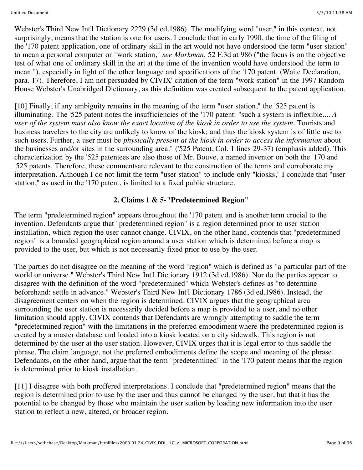Webster's Third New Int'l Dictionary 2229 (3d ed.1986). The modifying word "user," in this context, not surprisingly, means that the station is one for users. I conclude that in early 1990, the time of the filing of the '170 patent application, one of ordinary skill in the art would not have understood the term "user station" to mean a personal computer or "work station," *see Markman,* 52 F.3d at 986 ("the focus is on the objective test of what one of ordinary skill in the art at the time of the invention would have understood the term to mean."), especially in light of the other language and specifications of the '170 patent. (Waite Declaration, para. 17). Therefore, I am not persuaded by CIVIX' citation of the term "work station" in the 1997 Random House Webster's Unabridged Dictionary, as this definition was created subsequent to the patent application.

[10] Finally, if any ambiguity remains in the meaning of the term "user station," the '525 patent is illuminating. The '525 patent notes the insufficiencies of the '170 patent: "such a system is inflexible.... *A user of the system must also know the exact location of the kiosk in order to use the system.* Tourists and business travelers to the city are unlikely to know of the kiosk; and thus the kiosk system is of little use to such users. Further, a user must be *physically present at the kiosk in order to access the information* about the businesses and/or sites in the surrounding area." ('525 Patent, Col. 1 lines 29-37) (emphasis added). This characterization by the '525 patentees are also those of Mr. Bouve, a named inventor on both the '170 and '525 patents. Therefore, these commentsare relevant to the construction of the terms and corroborate my interpretation. Although I do not limit the term "user station" to include only "kiosks," I conclude that "user station," as used in the '170 patent, is limited to a fixed public structure.

### **2. Claims 1 & 5-"Predetermined Region"**

The term "predetermined region" appears throughout the '170 patent and is another term crucial to the invention. Defendants argue that "predetermined region" is a region determined prior to user station installation, which region the user cannot change. CIVIX, on the other hand, contends that "predetermined region" is a bounded geographical region around a user station which is determined before a map is provided to the user, but which is not necessarily fixed prior to use by the user.

The parties do not disagree on the meaning of the word "region" which is defined as "a particular part of the world or universe." Webster's Third New Int'l Dictionary 1912 (3d ed.1986). Nor do the parties appear to disagree with the definition of the word "predetermined" which Webster's defines as "to determine beforehand: settle in advance." Webster's Third New Int'l Dictionary 1786 (3d ed.1986). Instead, the disagreement centers on when the region is determined. CIVIX argues that the geographical area surrounding the user station is necessarily decided before a map is provided to a user, and no other limitation should apply. CIVIX contends that Defendants are wrongly attempting to saddle the term "predetermined region" with the limitations in the preferred embodiment where the predetermined region is created by a master database and loaded into a kiosk located on a city sidewalk. This region is not determined by the user at the user station. However, CIVIX urges that it is legal error to thus saddle the phrase. The claim language, not the preferred embodiments define the scope and meaning of the phrase. Defendants, on the other hand, argue that the term "predetermined" in the '170 patent means that the region is determined prior to kiosk installation.

[11] I disagree with both proffered interpretations. I conclude that "predetermined region" means that the region is determined prior to use by the user and thus cannot be changed by the user, but that it has the potential to be changed by those who maintain the user station by loading new information into the user station to reflect a new, altered, or broader region.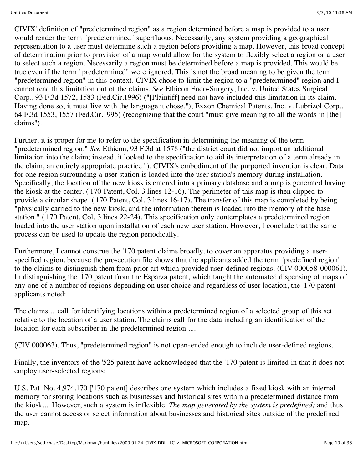CIVIX' definition of "predetermined region" as a region determined before a map is provided to a user would render the term "predetermined" superfluous. Necessarily, any system providing a geographical representation to a user must determine such a region before providing a map. However, this broad concept of determination prior to provision of a map would allow for the system to flexibly select a region or a user to select such a region. Necessarily a region must be determined before a map is provided. This would be true even if the term "predetermined" were ignored. This is not the broad meaning to be given the term "predetermined region" in this context. CIVIX chose to limit the region to a "predetermined" region and I cannot read this limitation out of the claims. *See* Ethicon Endo-Surgery, Inc. v. United States Surgical Corp., 93 F.3d 1572, 1583 (Fed.Cir.1996) ("[Plaintiff] need not have included this limitation in its claim. Having done so, it must live with the language it chose."); Exxon Chemical Patents, Inc. v. Lubrizol Corp., 64 F.3d 1553, 1557 (Fed.Cir.1995) (recognizing that the court "must give meaning to all the words in [the] claims").

Further, it is proper for me to refer to the specification in determining the meaning of the term "predetermined region." *See* Ethicon, 93 F.3d at 1578 ("the district court did not import an additional limitation into the claim; instead, it looked to the specification to aid its interpretation of a term already in the claim, an entirely appropriate practice."). CIVIX's embodiment of the purported invention is clear. Data for one region surrounding a user station is loaded into the user station's memory during installation. Specifically, the location of the new kiosk is entered into a primary database and a map is generated having the kiosk at the center. ('170 Patent, Col. 3 lines 12-16). The perimeter of this map is then clipped to provide a circular shape. ('170 Patent, Col. 3 lines 16-17). The transfer of this map is completed by being "physically carried to the new kiosk, and the information therein is loaded into the memory of the base station." ('170 Patent, Col. 3 lines 22-24). This specification only contemplates a predetermined region loaded into the user station upon installation of each new user station. However, I conclude that the same process can be used to update the region periodically.

Furthermore, I cannot construe the '170 patent claims broadly, to cover an apparatus providing a userspecified region, because the prosecution file shows that the applicants added the term "predefined region" to the claims to distinguish them from prior art which provided user-defined regions. (CIV 000058-000061). In distinguishing the '170 patent from the Esparza patent, which taught the automated dispensing of maps of any one of a number of regions depending on user choice and regardless of user location, the '170 patent applicants noted:

The claims ... call for identifying locations within a predetermined region of a selected group of this set relative to the location of a user station. The claims call for the data including an identification of the location for each subscriber in the predetermined region ....

(CIV 000063). Thus, "predetermined region" is not open-ended enough to include user-defined regions.

Finally, the inventors of the '525 patent have acknowledged that the '170 patent is limited in that it does not employ user-selected regions:

U.S. Pat. No. 4,974,170 ['170 patent] describes one system which includes a fixed kiosk with an internal memory for storing locations such as businesses and historical sites within a predetermined distance from the kiosk.... However, such a system is inflexible. *The map generated by the system is predefined;* and thus the user cannot access or select information about businesses and historical sites outside of the predefined map.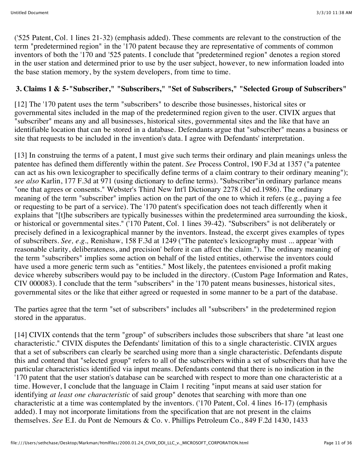('525 Patent, Col. 1 lines 21-32) (emphasis added). These comments are relevant to the construction of the term "predetermined region" in the '170 patent because they are representative of comments of common inventors of both the '170 and '525 patents. I conclude that "predetermined region" denotes a region stored in the user station and determined prior to use by the user subject, however, to new information loaded into the base station memory, by the system developers, from time to time.

## **3. Claims 1 & 5-"Subscriber," "Subscribers," "Set of Subscribers," "Selected Group of Subscribers"**

[12] The '170 patent uses the term "subscribers" to describe those businesses, historical sites or governmental sites included in the map of the predetermined region given to the user. CIVIX argues that "subscriber" means any and all businesses, historical sites, governmental sites and the like that have an identifiable location that can be stored in a database. Defendants argue that "subscriber" means a business or site that requests to be included in the invention's data. I agree with Defendants' interpretation.

[13] In construing the terms of a patent, I must give such terms their ordinary and plain meanings unless the patentee has defined them differently within the patent. *See* Process Control, 190 F.3d at 1357 ("a patentee can act as his own lexicographer to specifically define terms of a claim contrary to their ordinary meaning"); *see also* Karlin, 177 F.3d at 971 (using dictionary to define terms). "Subscriber"in ordinary parlance means "one that agrees or consents." Webster's Third New Int'l Dictionary 2278 (3d ed.1986). The ordinary meaning of the term "subscriber" implies action on the part of the one to which it refers (e.g., paying a fee or requesting to be part of a service). The '170 patent's specification does not teach differently when it explains that "[t]he subscribers are typically businesses within the predetermined area surrounding the kiosk, or historical or governmental sites." ('170 Patent, Col. 1 lines 39-42). "Subscribers" is not deliberately or precisely defined in a lexicographical manner by the inventors. Instead, the excerpt gives examples of types of subscribers. *See, e.g.,* Renishaw, 158 F.3d at 1249 ("The patentee's lexicography must ... appear 'with reasonable clarity, deliberateness, and precision' before it can affect the claim."). The ordinary meaning of the term "subscribers" implies some action on behalf of the listed entities, otherwise the inventors could have used a more generic term such as "entities." Most likely, the patentees envisioned a profit making device whereby subscribers would pay to be included in the directory. (Custom Page Information and Rates, CIV 000083). I conclude that the term "subscribers" in the '170 patent means businesses, historical sites, governmental sites or the like that either agreed or requested in some manner to be a part of the database.

The parties agree that the term "set of subscribers" includes all "subscribers" in the predetermined region stored in the apparatus.

[14] CIVIX contends that the term "group" of subscribers includes those subscribers that share "at least one characteristic." CIVIX disputes the Defendants' limitation of this to a single characteristic. CIVIX argues that a set of subscribers can clearly be searched using more than a single characteristic. Defendants dispute this and contend that "selected group" refers to all of the subscribers within a set of subscribers that have the particular characteristics identified via input means. Defendants contend that there is no indication in the '170 patent that the user station's database can be searched with respect to more than one characteristic at a time. However, I conclude that the language in Claim 1 reciting "input means at said user station for identifying *at least one characteristic* of said group" denotes that searching with more than one characteristic at a time was contemplated by the inventors. ('170 Patent, Col. 4 lines 16-17) (emphasis added). I may not incorporate limitations from the specification that are not present in the claims themselves. *See* E.I. du Pont de Nemours & Co. v. Phillips Petroleum Co., 849 F.2d 1430, 1433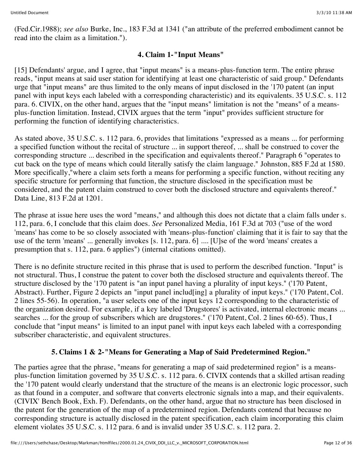(Fed.Cir.1988); *see also* Burke, Inc., 183 F.3d at 1341 ("an attribute of the preferred embodiment cannot be read into the claim as a limitation.").

### **4. Claim 1-"Input Means"**

[15] Defendants' argue, and I agree, that "input means" is a means-plus-function term. The entire phrase reads, "input means at said user station for identifying at least one characteristic of said group." Defendants urge that "input means" are thus limited to the only means of input disclosed in the '170 patent (an input panel with input keys each labeled with a corresponding characteristic) and its equivalents. 35 U.S.C. s. 112 para. 6. CIVIX, on the other hand, argues that the "input means" limitation is not the "means" of a meansplus-function limitation. Instead, CIVIX argues that the term "input" provides sufficient structure for performing the function of identifying characteristics.

As stated above, 35 U.S.C. s. 112 para. 6, provides that limitations "expressed as a means ... for performing a specified function without the recital of structure ... in support thereof, ... shall be construed to cover the corresponding structure ... described in the specification and equivalents thereof." Paragraph 6 "operates to cut back on the type of means which could literally satisfy the claim language." Johnston, 885 F.2d at 1580. More specifically,"where a claim sets forth a means for performing a specific function, without reciting any specific structure for performing that function, the structure disclosed in the specification must be considered, and the patent claim construed to cover both the disclosed structure and equivalents thereof." Data Line, 813 F.2d at 1201.

The phrase at issue here uses the word "means," and although this does not dictate that a claim falls under s. 112, para. 6, I conclude that this claim does. *See* Personalized Media, 161 F.3d at 703 ("use of the word 'means' has come to be so closely associated with 'means-plus-function' claiming that it is fair to say that the use of the term 'means' ... generally invokes [s. 112, para. 6] .... [U]se of the word 'means' creates a presumption that s. 112, para. 6 applies") (internal citations omitted).

There is no definite structure recited in this phrase that is used to perform the described function. "Input" is not structural. Thus, I construe the patent to cover both the disclosed structure and equivalents thereof. The structure disclosed by the '170 patent is "an input panel having a plurality of input keys." ('170 Patent, Abstract). Further, Figure 2 depicts an "input panel includ[ing] a plurality of input keys." ('170 Patent, Col. 2 lines 55-56). In operation, "a user selects one of the input keys 12 corresponding to the characteristic of the organization desired. For example, if a key labeled 'Drugstores' is activated, internal electronic means ... searches ... for the group of subscribers which are drugstores." ('170 Patent, Col. 2 lines 60-65). Thus, I conclude that "input means" is limited to an input panel with input keys each labeled with a corresponding subscriber characteristic, and equivalent structures.

#### **5. Claims 1 & 2-"Means for Generating a Map of Said Predetermined Region."**

The parties agree that the phrase, "means for generating a map of said predetermined region" is a meansplus-function limitation governed by 35 U.S.C. s. 112 para. 6. CIVIX contends that a skilled artisan reading the '170 patent would clearly understand that the structure of the means is an electronic logic processor, such as that found in a computer, and software that converts electronic signals into a map, and their equivalents. (CIVIX' Bench Book, Exh. F). Defendants, on the other hand, argue that no structure has been disclosed in the patent for the generation of the map of a predetermined region. Defendants contend that because no corresponding structure is actually disclosed in the patent specification, each claim incorporating this claim element violates 35 U.S.C. s. 112 para. 6 and is invalid under 35 U.S.C. s. 112 para. 2.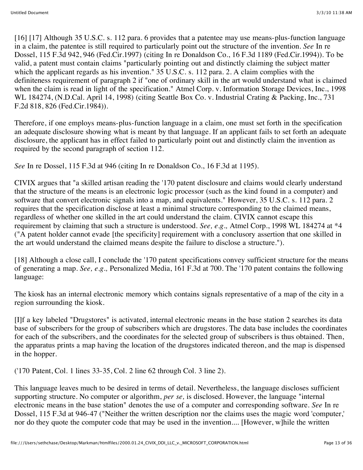[16] [17] Although 35 U.S.C. s. 112 para. 6 provides that a patentee may use means-plus-function language in a claim, the patentee is still required to particularly point out the structure of the invention. *See* In re Dossel, 115 F.3d 942, 946 (Fed.Cir.1997) (citing In re Donaldson Co., 16 F.3d 1189 (Fed.Cir.1994)). To be valid, a patent must contain claims "particularly pointing out and distinctly claiming the subject matter which the applicant regards as his invention." 35 U.S.C. s. 112 para. 2. A claim complies with the definiteness requirement of paragraph 2 if "one of ordinary skill in the art would understand what is claimed when the claim is read in light of the specification." Atmel Corp. v. Information Storage Devices, Inc., 1998 WL 184274, (N.D.Cal. April 14, 1998) (citing Seattle Box Co. v. Industrial Crating & Packing, Inc., 731 F.2d 818, 826 (Fed.Cir.1984)).

Therefore, if one employs means-plus-function language in a claim, one must set forth in the specification an adequate disclosure showing what is meant by that language. If an applicant fails to set forth an adequate disclosure, the applicant has in effect failed to particularly point out and distinctly claim the invention as required by the second paragraph of section 112.

*See* In re Dossel, 115 F.3d at 946 (citing In re Donaldson Co., 16 F.3d at 1195).

CIVIX argues that "a skilled artisan reading the '170 patent disclosure and claims would clearly understand that the structure of the means is an electronic logic processor (such as the kind found in a computer) and software that convert electronic signals into a map, and equivalents." However, 35 U.S.C. s. 112 para. 2 requires that the specification disclose at least a minimal structure corresponding to the claimed means, regardless of whether one skilled in the art could understand the claim. CIVIX cannot escape this requirement by claiming that such a structure is understood. *See, e.g.,* Atmel Corp., 1998 WL 184274 at \*4 ("A patent holder cannot evade [the specificity] requirement with a conclusory assertion that one skilled in the art would understand the claimed means despite the failure to disclose a structure.").

[18] Although a close call, I conclude the '170 patent specifications convey sufficient structure for the means of generating a map. *See, e.g.,* Personalized Media, 161 F.3d at 700. The '170 patent contains the following language:

The kiosk has an internal electronic memory which contains signals representative of a map of the city in a region surrounding the kiosk.

[I]f a key labeled "Drugstores" is activated, internal electronic means in the base station 2 searches its data base of subscribers for the group of subscribers which are drugstores. The data base includes the coordinates for each of the subscribers, and the coordinates for the selected group of subscribers is thus obtained. Then, the apparatus prints a map having the location of the drugstores indicated thereon, and the map is dispensed in the hopper.

('170 Patent, Col. 1 lines 33-35, Col. 2 line 62 through Col. 3 line 2).

This language leaves much to be desired in terms of detail. Nevertheless, the language discloses sufficient supporting structure. No computer or algorithm, *per se,* is disclosed. However, the language "internal electronic means in the base station" denotes the use of a computer and corresponding software. *See* In re Dossel, 115 F.3d at 946-47 ("Neither the written description nor the claims uses the magic word 'computer,' nor do they quote the computer code that may be used in the invention.... [However, w]hile the written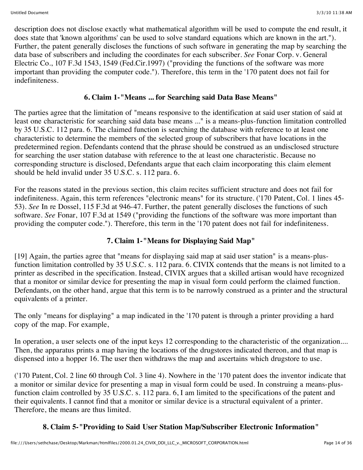description does not disclose exactly what mathematical algorithm will be used to compute the end result, it does state that 'known algorithms' can be used to solve standard equations which are known in the art."). Further, the patent generally discloses the functions of such software in generating the map by searching the data base of subscribers and including the coordinates for each subscriber. *See* Fonar Corp. v. General Electric Co., 107 F.3d 1543, 1549 (Fed.Cir.1997) ("providing the functions of the software was more important than providing the computer code."). Therefore, this term in the '170 patent does not fail for indefiniteness.

## **6. Claim 1-"Means ... for Searching said Data Base Means"**

The parties agree that the limitation of "means responsive to the identification at said user station of said at least one characteristic for searching said data base means ..." is a means-plus-function limitation controlled by 35 U.S.C. 112 para. 6. The claimed function is searching the database with reference to at least one characteristic to determine the members of the selected group of subscribers that have locations in the predetermined region. Defendants contend that the phrase should be construed as an undisclosed structure for searching the user station database with reference to the at least one characteristic. Because no corresponding structure is disclosed, Defendants argue that each claim incorporating this claim element should be held invalid under 35 U.S.C. s. 112 para. 6.

For the reasons stated in the previous section, this claim recites sufficient structure and does not fail for indefiniteness. Again, this term references "electronic means" for its structure. ('170 Patent, Col. 1 lines 45- 53). *See* In re Dossel, 115 F.3d at 946-47. Further, the patent generally discloses the functions of such software. *See* Fonar, 107 F.3d at 1549 ("providing the functions of the software was more important than providing the computer code."). Therefore, this term in the '170 patent does not fail for indefiniteness.

## **7. Claim 1-"Means for Displaying Said Map"**

[19] Again, the parties agree that "means for displaying said map at said user station" is a means-plusfunction limitation controlled by 35 U.S.C. s. 112 para. 6. CIVIX contends that the means is not limited to a printer as described in the specification. Instead, CIVIX argues that a skilled artisan would have recognized that a monitor or similar device for presenting the map in visual form could perform the claimed function. Defendants, on the other hand, argue that this term is to be narrowly construed as a printer and the structural equivalents of a printer.

The only "means for displaying" a map indicated in the '170 patent is through a printer providing a hard copy of the map. For example,

In operation, a user selects one of the input keys 12 corresponding to the characteristic of the organization.... Then, the apparatus prints a map having the locations of the drugstores indicated thereon, and that map is dispensed into a hopper 16. The user then withdraws the map and ascertains which drugstore to use.

('170 Patent, Col. 2 line 60 through Col. 3 line 4). Nowhere in the '170 patent does the inventor indicate that a monitor or similar device for presenting a map in visual form could be used. In construing a means-plusfunction claim controlled by 35 U.S.C. s. 112 para. 6, I am limited to the specifications of the patent and their equivalents. I cannot find that a monitor or similar device is a structural equivalent of a printer. Therefore, the means are thus limited.

# **8. Claim 5-"Providing to Said User Station Map/Subscriber Electronic Information"**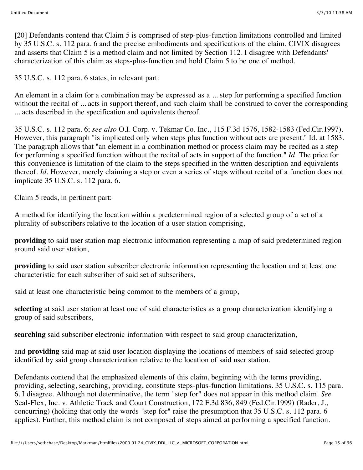[20] Defendants contend that Claim 5 is comprised of step-plus-function limitations controlled and limited by 35 U.S.C. s. 112 para. 6 and the precise embodiments and specifications of the claim. CIVIX disagrees and asserts that Claim 5 is a method claim and not limited by Section 112. I disagree with Defendants' characterization of this claim as steps-plus-function and hold Claim 5 to be one of method.

35 U.S.C. s. 112 para. 6 states, in relevant part:

An element in a claim for a combination may be expressed as a ... step for performing a specified function without the recital of ... acts in support thereof, and such claim shall be construed to cover the corresponding ... acts described in the specification and equivalents thereof.

35 U.S.C. s. 112 para. 6; *see also* O.I. Corp. v. Tekmar Co. Inc., 115 F.3d 1576, 1582-1583 (Fed.Cir.1997). However, this paragraph "is implicated only when steps plus function without acts are present." Id. at 1583. The paragraph allows that "an element in a combination method or process claim may be recited as a step for performing a specified function without the recital of acts in support of the function." *Id.* The price for this convenience is limitation of the claim to the steps specified in the written description and equivalents thereof. *Id.* However, merely claiming a step or even a series of steps without recital of a function does not implicate 35 U.S.C. s. 112 para. 6.

Claim 5 reads, in pertinent part:

A method for identifying the location within a predetermined region of a selected group of a set of a plurality of subscribers relative to the location of a user station comprising,

**providing** to said user station map electronic information representing a map of said predetermined region around said user station,

**providing** to said user station subscriber electronic information representing the location and at least one characteristic for each subscriber of said set of subscribers,

said at least one characteristic being common to the members of a group,

**selecting** at said user station at least one of said characteristics as a group characterization identifying a group of said subscribers,

**searching** said subscriber electronic information with respect to said group characterization,

and **providing** said map at said user location displaying the locations of members of said selected group identified by said group characterization relative to the location of said user station.

Defendants contend that the emphasized elements of this claim, beginning with the terms providing, providing, selecting, searching, providing, constitute steps-plus-function limitations. 35 U.S.C. s. 115 para. 6. I disagree. Although not determinative, the term "step for" does not appear in this method claim. *See* Seal-Flex, Inc. v. Athletic Track and Court Construction, 172 F.3d 836, 849 (Fed.Cir.1999) (Rader, J., concurring) (holding that only the words "step for" raise the presumption that 35 U.S.C. s. 112 para. 6 applies). Further, this method claim is not composed of steps aimed at performing a specified function.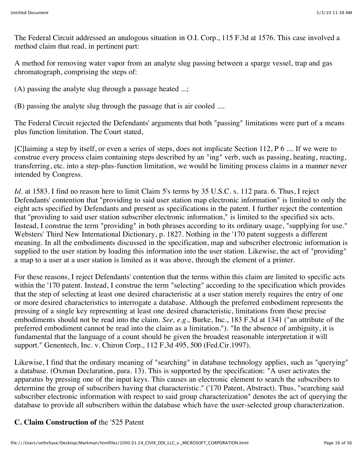The Federal Circuit addressed an analogous situation in O.I. Corp., 115 F.3d at 1576. This case involved a method claim that read, in pertinent part:

A method for removing water vapor from an analyte slug passing between a sparge vessel, trap and gas chromatograph, comprising the steps of:

(A) passing the analyte slug through a passage heated ...;

(B) passing the analyte slug through the passage that is air cooled ....

The Federal Circuit rejected the Defendants' arguments that both "passing" limitations were part of a means plus function limitation. The Court stated,

[C]laiming a step by itself, or even a series of steps, does not implicate Section 112, P 6 .... If we were to construe every process claim containing steps described by an "ing" verb, such as passing, heating, reacting, transferring, etc. into a step-plus-function limitation, we would be limiting process claims in a manner never intended by Congress.

*Id.* at 1583. I find no reason here to limit Claim 5's terms by 35 U.S.C. s. 112 para. 6. Thus, I reject Defendants' contention that "providing to said user station map electronic information" is limited to only the eight acts specified by Defendants and present as specifications in the patent. I further reject the contention that "providing to said user station subscriber electronic information," is limited to the specified six acts. Instead, I construe the term "providing" in both phrases according to its ordinary usage, "supplying for use." Websters' Third New International Dictionary, p. 1827. Nothing in the '170 patent suggests a different meaning. In all the embodiments discussed in the specification, map and subscriber electronic information is supplied to the user station by loading this information into the user station. Likewise, the act of "providing" a map to a user at a user station is limited as it was above, through the element of a printer.

For these reasons, I reject Defendants' contention that the terms within this claim are limited to specific acts within the '170 patent. Instead, I construe the term "selecting" according to the specification which provides that the step of selecting at least one desired characteristic at a user station merely requires the entry of one or more desired characteristics to interrogate a database. Although the preferred embodiment represents the pressing of a single key representing at least one desired characteristic, limitations from these precise embodiments should not be read into the claim. *See, e.g.,* Burke, Inc., 183 F.3d at 1341 ("an attribute of the preferred embodiment cannot be read into the claim as a limitation."). "In the absence of ambiguity, it is fundamental that the language of a count should be given the broadest reasonable interpretation it will support." Genentech, Inc. v. Chiron Corp., 112 F.3d 495, 500 (Fed.Cir.1997).

Likewise, I find that the ordinary meaning of "searching" in database technology applies, such as "querying" a database. (Oxman Declaration, para. 13). This is supported by the specification: "A user activates the apparatus by pressing one of the input keys. This causes an electronic element to search the subscribers to determine the group of subscribers having that characteristic." ('170 Patent, Abstract). Thus, "searching said subscriber electronic information with respect to said group characterization" denotes the act of querying the database to provide all subscribers within the database which have the user-selected group characterization.

## **C. Claim Construction of** the '525 Patent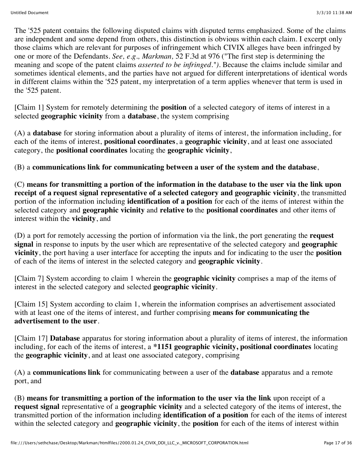The '525 patent contains the following disputed claims with disputed terms emphasized. Some of the claims are independent and some depend from others, this distinction is obvious within each claim. I excerpt only those claims which are relevant for purposes of infringement which CIVIX alleges have been infringed by one or more of the Defendants. *See, e.g., Markman,* 52 F.3d at 976 ("The first step is determining the meaning and scope of the patent claims *asserted to be infringed.").* Because the claims include similar and sometimes identical elements, and the parties have not argued for different interpretations of identical words in different claims within the '525 patent, my interpretation of a term applies whenever that term is used in the '525 patent.

[Claim 1] System for remotely determining the **position** of a selected category of items of interest in a selected **geographic vicinity** from a **database**, the system comprising

(A) a **database** for storing information about a plurality of items of interest, the information including, for each of the items of interest, **positional coordinates**, a **geographic vicinity**, and at least one associated category, the **positional coordinates** locating the **geographic vicinity**,

(B) a **communications link for communicating between a user of the system and the database**,

(C) **means for transmitting a portion of the information in the database to the user via the link upon receipt of a request signal representative of a selected category and geographic vicinity**, the transmitted portion of the information including **identification of a position** for each of the items of interest within the selected category and **geographic vicinity** and **relative to** the **positional coordinates** and other items of interest within the **vicinity**, and

(D) a port for remotely accessing the portion of information via the link, the port generating the **request signal** in response to inputs by the user which are representative of the selected category and **geographic vicinity**, the port having a user interface for accepting the inputs and for indicating to the user the **position** of each of the items of interest in the selected category and **geographic vicinity**.

[Claim 7] System according to claim 1 wherein the **geographic vicinity** comprises a map of the items of interest in the selected category and selected **geographic vicinity**.

[Claim 15] System according to claim 1, wherein the information comprises an advertisement associated with at least one of the items of interest, and further comprising **means for communicating the advertisement to the user**.

[Claim 17] **Database** apparatus for storing information about a plurality of items of interest, the information including, for each of the items of interest, a **\*1151 geographic vicinity, positional coordinates** locating the **geographic vicinity**, and at least one associated category, comprising

(A) a **communications link** for communicating between a user of the **database** apparatus and a remote port, and

(B) **means for transmitting a portion of the information to the user via the link** upon receipt of a **request signal** representative of a **geographic vicinity** and a selected category of the items of interest, the transmitted portion of the information including **identification of a position** for each of the items of interest within the selected category and **geographic vicinity**, the **position** for each of the items of interest within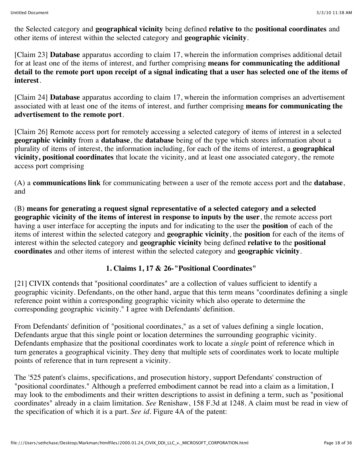the Selected category and **geographical vicinity** being defined **relative to** the **positional coordinates** and other items of interest within the selected category and **geographic vicinity**.

[Claim 23] **Database** apparatus according to claim 17, wherein the information comprises additional detail for at least one of the items of interest, and further comprising **means for communicating the additional detail to the remote port upon receipt of a signal indicating that a user has selected one of the items of interest**.

[Claim 24] **Database** apparatus according to claim 17, wherein the information comprises an advertisement associated with at least one of the items of interest, and further comprising **means for communicating the advertisement to the remote port**.

[Claim 26] Remote access port for remotely accessing a selected category of items of interest in a selected **geographic vicinity** from a **database**, the **database** being of the type which stores information about a plurality of items of interest, the information including, for each of the items of interest, a **geographical vicinity, positional coordinates** that locate the vicinity, and at least one associated category, the remote access port comprising

(A) a **communications link** for communicating between a user of the remote access port and the **database**, and

(B) **means for generating a request signal representative of a selected category and a selected geographic vicinity of the items of interest in response to inputs by the user**, the remote access port having a user interface for accepting the inputs and for indicating to the user the **position** of each of the items of interest within the selected category and **geographic vicinity**, the **position** for each of the items of interest within the selected category and **geographic vicinity** being defined **relative to** the **positional coordinates** and other items of interest within the selected category and **geographic vicinity**.

## **1. Claims 1, 17 & 26-"Positional Coordinates"**

[21] CIVIX contends that "positional coordinates" are a collection of values sufficient to identify a geographic vicinity. Defendants, on the other hand, argue that this term means "coordinates defining a single reference point within a corresponding geographic vicinity which also operate to determine the corresponding geographic vicinity." I agree with Defendants' definition.

From Defendants' definition of "positional coordinates," as a set of values defining a single location, Defendants argue that this single point or location determines the surrounding geographic vicinity. Defendants emphasize that the positional coordinates work to locate a *single* point of reference which in turn generates a geographical vicinity. They deny that multiple sets of coordinates work to locate multiple points of reference that in turn represent a vicinity.

The '525 patent's claims, specifications, and prosecution history, support Defendants' construction of "positional coordinates." Although a preferred embodiment cannot be read into a claim as a limitation, I may look to the embodiments and their written descriptions to assist in defining a term, such as "positional coordinates" already in a claim limitation. *See* Renishaw, 158 F.3d at 1248. A claim must be read in view of the specification of which it is a part. *See id.* Figure 4A of the patent: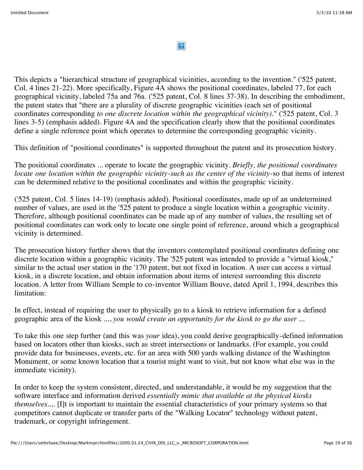$\overline{?}$ 

This depicts a "hierarchical structure of geographical vicinities, according to the invention." ('525 patent, Col. 4 lines 21-22). More specifically, Figure 4A shows the positional coordinates, labeled 77, for each geographical vicinity, labeled 75a and 76a. ('525 patent, Col. 8 lines 37-38). In describing the embodiment, the patent states that "there are a plurality of discrete geographic vicinities (each set of positional coordinates corresponding *to one discrete location within the geographical vicinity).*" ('525 patent, Col. 3 lines 3-5) (emphasis added). Figure 4A and the specification clearly show that the positional coordinates define a single reference point which operates to determine the corresponding geographic vicinity.

This definition of "positional coordinates" is supported throughout the patent and its prosecution history.

The positional coordinates ... operate to locate the geographic vicinity. *Briefly, the positional coordinates locate one location within the geographic vicinity-such as the center of the vicinity-so that items of interest* can be determined relative to the positional coordinates and within the geographic vicinity.

('525 patent, Col. 5 lines 14-19) (emphasis added). Positional coordinates, made up of an undetermined number of values, are used in the '525 patent to produce a single location within a geographic vicinity. Therefore, although positional coordinates can be made up of any number of values, the resulting set of positional coordinates can work only to locate one single point of reference, around which a geographical vicinity is determined.

The prosecution history further shows that the inventors contemplated positional coordinates defining one discrete location within a geographic vicinity. The '525 patent was intended to provide a "virtual kiosk," similar to the actual user station in the '170 patent, but not fixed in location. A user can access a virtual kiosk, in a discrete location, and obtain information about items of interest surrounding this discrete location. A letter from William Semple to co-inventor William Bouve, dated April 1, 1994, describes this limitation:

In effect, instead of requiring the user to physically go to a kiosk to retrieve information for a defined geographic area of the kiosk ..., *you would create an opportunity for the kiosk to go the user* ...

To take this one step further (and this was *your* idea), you could derive geographically-defined information based on locators other than kiosks, such as street intersections or landmarks. (For example, you could provide data for businesses, events, etc. for an area with 500 yards walking distance of the Washington Monument, or some known location that a tourist might want to visit, but not know what else was in the immediate vicinity).

In order to keep the system consistent, directed, and understandable, it would be my suggestion that the software interface and information derived *essentially mimic that available at the physical kiosks themselves....* [I]t is important to maintain the essential characteristics of your primary systems so that competitors cannot duplicate or transfer parts of the "Walking Locator" technology without patent, trademark, or copyright infringement.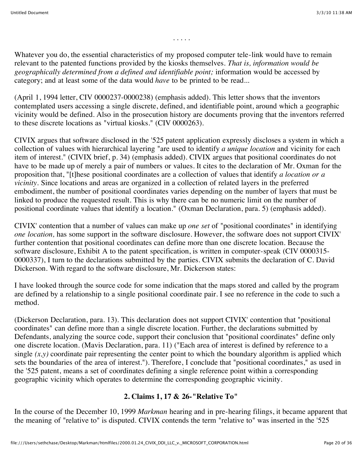. . . . .

Whatever you do, the essential characteristics of my proposed computer tele-link would have to remain relevant to the patented functions provided by the kiosks themselves. *That is, information would be geographically determined from a defined and identifiable point;* information would be accessed by category; and at least some of the data would *have* to be printed to be read...

(April 1, 1994 letter, CIV 0000237-0000238) (emphasis added). This letter shows that the inventors contemplated users accessing a single discrete, defined, and identifiable point, around which a geographic vicinity would be defined. Also in the prosecution history are documents proving that the inventors referred to these discrete locations as "virtual kiosks." (CIV 0000263).

CIVIX argues that software disclosed in the '525 patent application expressly discloses a system in which a collection of values with hierarchical layering "are used to identify *a unique location* and vicinity for each item of interest." (CIVIX brief, p. 34) (emphasis added). CIVIX argues that positional coordinates do not have to be made up of merely a pair of numbers or values. It cites to the declaration of Mr. Oxman for the proposition that, "[t]hese positional coordinates are a collection of values that identify *a location or a vicinity.* Since locations and areas are organized in a collection of related layers in the preferred embodiment, the number of positional coordinates varies depending on the number of layers that must be linked to produce the requested result. This is why there can be no numeric limit on the number of positional coordinate values that identify a location." (Oxman Declaration, para. 5) (emphasis added).

CIVIX' contention that a number of values can make up *one set* of "positional coordinates" in identifying *one location*, has some support in the software disclosure. However, the software does not support CIVIX' further contention that positional coordinates can define more than one discrete location. Because the software disclosure, Exhibit A to the patent specification, is written in computer-speak (CIV 0000315- 0000337), I turn to the declarations submitted by the parties. CIVIX submits the declaration of C. David Dickerson. With regard to the software disclosure, Mr. Dickerson states:

I have looked through the source code for some indication that the maps stored and called by the program are defined by a relationship to a single positional coordinate pair. I see no reference in the code to such a method.

(Dickerson Declaration, para. 13). This declaration does not support CIVIX' contention that "positional coordinates" can define more than a single discrete location. Further, the declarations submitted by Defendants, analyzing the source code, support their conclusion that "positional coordinates" define only one discrete location. (Mavis Declaration, para. 11) ("Each area of interest is defined by reference to a single  $(x,y)$  coordinate pair representing the center point to which the boundary algorithm is applied which sets the boundaries of the area of interest."). Therefore, I conclude that "positional coordinates," as used in the '525 patent, means a set of coordinates defining a single reference point within a corresponding geographic vicinity which operates to determine the corresponding geographic vicinity.

#### **2. Claims 1, 17 & 26-"Relative To"**

In the course of the December 10, 1999 *Markman* hearing and in pre-hearing filings, it became apparent that the meaning of "relative to" is disputed. CIVIX contends the term "relative to" was inserted in the '525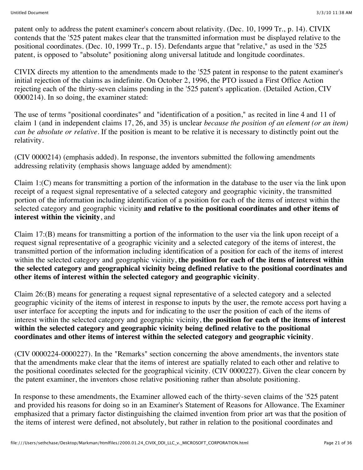patent only to address the patent examiner's concern about relativity. (Dec. 10, 1999 Tr., p. 14). CIVIX contends that the '525 patent makes clear that the transmitted information must be displayed relative to the positional coordinates. (Dec. 10, 1999 Tr., p. 15). Defendants argue that "relative," as used in the '525 patent, is opposed to "absolute" positioning along universal latitude and longitude coordinates.

CIVIX directs my attention to the amendments made to the '525 patent in response to the patent examiner's initial rejection of the claims as indefinite. On October 2, 1996, the PTO issued a First Office Action rejecting each of the thirty-seven claims pending in the '525 patent's application. (Detailed Action, CIV 0000214). In so doing, the examiner stated:

The use of terms "positional coordinates" and "identification of a position," as recited in line 4 and 11 of claim 1 (and in independent claims 17, 26, and 35) is unclear *because the position of an element (or an item) can be absolute or relative.* If the position is meant to be relative it is necessary to distinctly point out the relativity.

(CIV 0000214) (emphasis added). In response, the inventors submitted the following amendments addressing relativity (emphasis shows language added by amendment):

Claim 1:(C) means for transmitting a portion of the information in the database to the user via the link upon receipt of a request signal representative of a selected category and geographic vicinity, the transmitted portion of the information including identification of a position for each of the items of interest within the selected category and geographic vicinity **and relative to the positional coordinates and other items of interest within the vicinity**, and

Claim 17:(B) means for transmitting a portion of the information to the user via the link upon receipt of a request signal representative of a geographic vicinity and a selected category of the items of interest, the transmitted portion of the information including identification of a position for each of the items of interest within the selected category and geographic vicinity, **the position for each of the items of interest within the selected category and geographical vicinity being defined relative to the positional coordinates and other items of interest within the selected category and geographic vicinity**.

Claim 26:(B) means for generating a request signal representative of a selected category and a selected geographic vicinity of the items of interest in response to inputs by the user, the remote access port having a user interface for accepting the inputs and for indicating to the user the position of each of the items of interest within the selected category and geographic vicinity, **the position for each of the items of interest within the selected category and geographic vicinity being defined relative to the positional coordinates and other items of interest within the selected category and geographic vicinity**.

(CIV 0000224-0000227). In the "Remarks" section concerning the above amendments, the inventors state that the amendments make clear that the items of interest are spatially related to each other and relative to the positional coordinates selected for the geographical vicinity. (CIV 0000227). Given the clear concern by the patent examiner, the inventors chose relative positioning rather than absolute positioning.

In response to these amendments, the Examiner allowed each of the thirty-seven claims of the '525 patent and provided his reasons for doing so in an Examiner's Statement of Reasons for Allowance. The Examiner emphasized that a primary factor distinguishing the claimed invention from prior art was that the position of the items of interest were defined, not absolutely, but rather in relation to the positional coordinates and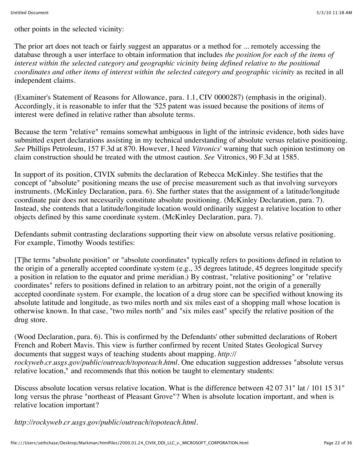other points in the selected vicinity:

The prior art does not teach or fairly suggest an apparatus or a method for ... remotely accessing the database through a user interface to obtain information that includes *the position for each of the items of interest within the selected category and geographic vicinity being defined relative to the positional coordinates and other items of interest within the selected category and geographic vicinity* as recited in all independent claims.

(Examiner's Statement of Reasons for Allowance, para. 1.1, CIV 0000287) (emphasis in the original). Accordingly, it is reasonable to infer that the '525 patent was issued because the positions of items of interest were defined in relative rather than absolute terms.

Because the term "relative" remains somewhat ambiguous in light of the intrinsic evidence, both sides have submitted expert declarations assisting in my technical understanding of absolute versus relative positioning. *See* Phillips Petroleum, 157 F.3d at 870. However, I heed *Vitronics*' warning that such opinion testimony on claim construction should be treated with the utmost caution. *See* Vitronics, 90 F.3d at 1585.

In support of its position, CIVIX submits the declaration of Rebecca McKinley. She testifies that the concept of "absolute" positioning means the use of precise measurement such as that involving surveyors instruments. (McKinley Declaration, para. 6). She further states that the assignment of a latitude/longitude coordinate pair does not necessarily constitute absolute positioning. (McKinley Declaration, para. 7). Instead, she contends that a latitude/longitude location would ordinarily suggest a relative location to other objects defined by this same coordinate system. (McKinley Declaration, para. 7).

Defendants submit contrasting declarations supporting their view on absolute versus relative positioning. For example, Timothy Woods testifies:

[T]he terms "absolute position" or "absolute coordinates" typically refers to positions defined in relation to the origin of a generally accepted coordinate system (e.g., 35 degrees latitude, 45 degrees longitude specify a position in relation to the equator and prime meridian.) By contrast, "relative positioning" or "relative coordinates" refers to positions defined in relation to an arbitrary point, not the origin of a generally accepted coordinate system. For example, the location of a drug store can be specified without knowing its absolute latitude and longitude, as two miles north and six miles east of a shopping mall whose location is otherwise known. In that case, "two miles north" and "six miles east" specify the relative position of the drug store.

(Wood Declaration, para. 6). This is confirmed by the Defendants' other submitted declarations of Robert French and Robert Mavis. This view is further confirmed by recent United States Geological Survey documents that suggest ways of teaching students about mapping. *http:// rockyweb.cr.usgs.gov/public/outreach/topoteach.html.* One education suggestion addresses "absolute versus relative location," and recommends that this notion be taught to elementary students:

Discuss absolute location versus relative location. What is the difference between 42 07 31" lat / 101 15 31" long versus the phrase "northeast of Pleasant Grove"? When is absolute location important, and when is relative location important?

*http://rockyweb.cr.usgs.gov/public/outreach/topoteach.html.*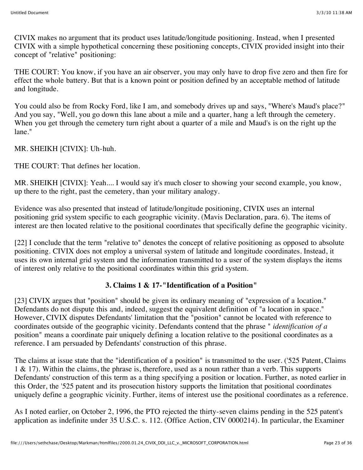CIVIX makes no argument that its product uses latitude/longitude positioning. Instead, when I presented CIVIX with a simple hypothetical concerning these positioning concepts, CIVIX provided insight into their concept of "relative" positioning:

THE COURT: You know, if you have an air observer, you may only have to drop five zero and then fire for effect the whole battery. But that is a known point or position defined by an acceptable method of latitude and longitude.

You could also be from Rocky Ford, like I am, and somebody drives up and says, "Where's Maud's place?" And you say, "Well, you go down this lane about a mile and a quarter, hang a left through the cemetery. When you get through the cemetery turn right about a quarter of a mile and Maud's is on the right up the lane."

MR. SHEIKH [CIVIX]: Uh-huh.

THE COURT: That defines her location.

MR. SHEIKH [CIVIX]: Yeah.... I would say it's much closer to showing your second example, you know, up there to the right, past the cemetery, than your military analogy.

Evidence was also presented that instead of latitude/longitude positioning, CIVIX uses an internal positioning grid system specific to each geographic vicinity. (Mavis Declaration, para. 6). The items of interest are then located relative to the positional coordinates that specifically define the geographic vicinity.

[22] I conclude that the term "relative to" denotes the concept of relative positioning as opposed to absolute positioning. CIVIX does not employ a universal system of latitude and longitude coordinates. Instead, it uses its own internal grid system and the information transmitted to a user of the system displays the items of interest only relative to the positional coordinates within this grid system.

## **3. Claims 1 & 17-"Identification of a Position"**

[23] CIVIX argues that "position" should be given its ordinary meaning of "expression of a location." Defendants do not dispute this and, indeed, suggest the equivalent definition of "a location in space." However, CIVIX disputes Defendants' limitation that the "position" cannot be located with reference to coordinates outside of the geographic vicinity. Defendants contend that the phrase " *identification of a* position" means a coordinate pair uniquely defining a location relative to the positional coordinates as a reference. I am persuaded by Defendants' construction of this phrase.

The claims at issue state that the "identification of a position" is transmitted to the user. ('525 Patent, Claims 1 & 17). Within the claims, the phrase is, therefore, used as a noun rather than a verb. This supports Defendants' construction of this term as a thing specifying a position or location. Further, as noted earlier in this Order, the '525 patent and its prosecution history supports the limitation that positional coordinates uniquely define a geographic vicinity. Further, items of interest use the positional coordinates as a reference.

As I noted earlier, on October 2, 1996, the PTO rejected the thirty-seven claims pending in the 525 patent's application as indefinite under 35 U.S.C. s. 112. (Office Action, CIV 0000214). In particular, the Examiner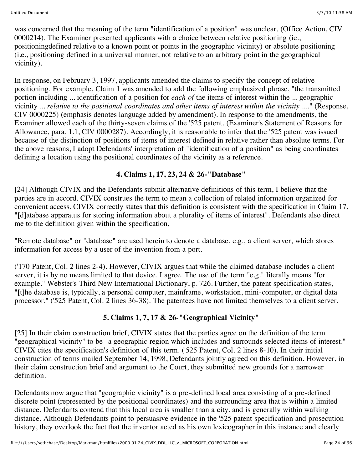was concerned that the meaning of the term "identification of a position" was unclear. (Office Action, CIV 0000214). The Examiner presented applicants with a choice between relative positioning (ie., positioningdefined relative to a known point or points in the geographic vicinity) or absolute positioning (i.e., positioning defined in a universal manner, not relative to an arbitrary point in the geographical vicinity).

In response, on February 3, 1997, applicants amended the claims to specify the concept of relative positioning. For example, Claim 1 was amended to add the following emphasized phrase, "the transmitted portion including ... identification of a position for *each of* the items of interest within the ... geographic vicinity ... *relative to the positional coordinates and other items of interest within the vicinity* ...." (Response, CIV 0000225) (emphasis denotes language added by amendment). In response to the amendments, the Examiner allowed each of the thirty-seven claims of the '525 patent. (Examiner's Statement of Reasons for Allowance, para. 1.1, CIV 0000287). Accordingly, it is reasonable to infer that the '525 patent was issued because of the distinction of positions of items of interest defined in relative rather than absolute terms. For the above reasons, I adopt Defendants' interpretation of "identification of a position" as being coordinates defining a location using the positional coordinates of the vicinity as a reference.

## **4. Claims 1, 17, 23, 24 & 26-"Database"**

[24] Although CIVIX and the Defendants submit alternative definitions of this term, I believe that the parties are in accord. CIVIX construes the term to mean a collection of related information organized for convenient access. CIVIX correctly states that this definition is consistent with the specification in Claim 17, "[d]atabase apparatus for storing information about a plurality of items of interest". Defendants also direct me to the definition given within the specification,

"Remote database" or "database" are used herein to denote a database, e.g., a client server, which stores information for access by a user of the invention from a port.

('170 Patent, Col. 2 lines 2-4). However, CIVIX argues that while the claimed database includes a client server, it is by no means limited to that device. I agree. The use of the term "e.g." literally means "for example." Webster's Third New International Dictionary, p. 726. Further, the patent specification states, "[t]he database is, typically, a personal computer, mainframe, workstation, mini-computer, or digital data processor." ('525 Patent, Col. 2 lines 36-38). The patentees have not limited themselves to a client server.

## **5. Claims 1, 7, 17 & 26-"Geographical Vicinity"**

[25] In their claim construction brief, CIVIX states that the parties agree on the definition of the term "geographical vicinity" to be "a geographic region which includes and surrounds selected items of interest." CIVIX cites the specification's definition of this term. ('525 Patent, Col. 2 lines 8-10). In their initial construction of terms mailed September 14, 1998, Defendants jointly agreed on this definition. However, in their claim construction brief and argument to the Court, they submitted new grounds for a narrower definition.

Defendants now argue that "geographic vicinity" is a pre-defined local area consisting of a pre-defined discrete point (represented by the positional coordinates) and the surrounding area that is within a limited distance. Defendants contend that this local area is smaller than a city, and is generally within walking distance. Although Defendants point to persuasive evidence in the '525 patent specification and prosecution history, they overlook the fact that the inventor acted as his own lexicographer in this instance and clearly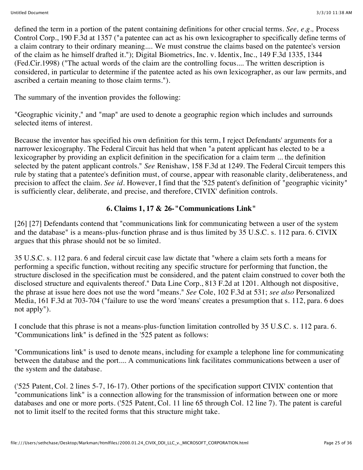defined the term in a portion of the patent containing definitions for other crucial terms. *See, e.g.,* Process Control Corp., 190 F.3d at 1357 ("a patentee can act as his own lexicographer to specifically define terms of a claim contrary to their ordinary meaning.... We must construe the claims based on the patentee's version of the claim as he himself drafted it."); Digital Biometrics, Inc. v. Identix, Inc., 149 F.3d 1335, 1344 (Fed.Cir.1998) ("The actual words of the claim are the controlling focus.... The written description is considered, in particular to determine if the patentee acted as his own lexicographer, as our law permits, and ascribed a certain meaning to those claim terms.").

The summary of the invention provides the following:

"Geographic vicinity," and "map" are used to denote a geographic region which includes and surrounds selected items of interest.

Because the inventor has specified his own definition for this term, I reject Defendants' arguments for a narrower lexicography. The Federal Circuit has held that when "a patent applicant has elected to be a lexicographer by providing an explicit definition in the specification for a claim term ... the definition selected by the patent applicant controls." *See* Renishaw, 158 F.3d at 1249. The Federal Circuit tempers this rule by stating that a patentee's definition must, of course, appear with reasonable clarity, deliberateness, and precision to affect the claim. *See id.* However, I find that the '525 patent's definition of "geographic vicinity" is sufficiently clear, deliberate, and precise, and therefore, CIVIX' definition controls.

## **6. Claims 1, 17 & 26-"Communications Link"**

[26] [27] Defendants contend that "communications link for communicating between a user of the system and the database" is a means-plus-function phrase and is thus limited by 35 U.S.C. s. 112 para. 6. CIVIX argues that this phrase should not be so limited.

35 U.S.C. s. 112 para. 6 and federal circuit case law dictate that "where a claim sets forth a means for performing a specific function, without reciting any specific structure for performing that function, the structure disclosed in the specification must be considered, and the patent claim construed to cover both the disclosed structure and equivalents thereof." Data Line Corp., 813 F.2d at 1201. Although not dispositive, the phrase at issue here does not use the word "means." *See* Cole, 102 F.3d at 531; *see also* Personalized Media, 161 F.3d at 703-704 ("failure to use the word 'means' creates a presumption that s. 112, para. 6 does not apply").

I conclude that this phrase is not a means-plus-function limitation controlled by 35 U.S.C. s. 112 para. 6. "Communications link" is defined in the '525 patent as follows:

"Communications link" is used to denote means, including for example a telephone line for communicating between the database and the port.... A communications link facilitates communications between a user of the system and the database.

('525 Patent, Col. 2 lines 5-7, 16-17). Other portions of the specification support CIVIX' contention that "communications link" is a connection allowing for the transmission of information between one or more databases and one or more ports. ('525 Patent, Col. 11 line 65 through Col. 12 line 7). The patent is careful not to limit itself to the recited forms that this structure might take.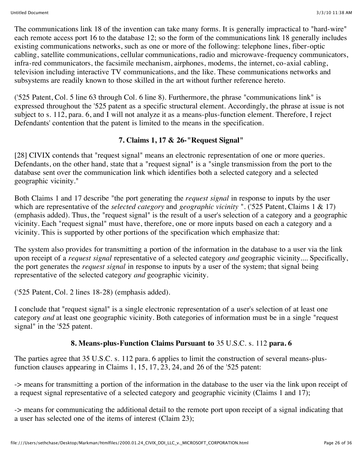The communications link 18 of the invention can take many forms. It is generally impractical to "hard-wire" each remote access port 16 to the database 12; so the form of the communications link 18 generally includes existing communications networks, such as one or more of the following: telephone lines, fiber-optic cabling, satellite communications, cellular communications, radio and microwave-frequency communicators, infra-red communicators, the facsimile mechanism, airphones, modems, the internet, co-axial cabling, television including interactive TV communications, and the like. These communications networks and subsystems are readily known to those skilled in the art without further reference hereto.

('525 Patent, Col. 5 line 63 through Col. 6 line 8). Furthermore, the phrase "communications link" is expressed throughout the '525 patent as a specific structural element. Accordingly, the phrase at issue is not subject to s. 112, para. 6, and I will not analyze it as a means-plus-function element. Therefore, I reject Defendants' contention that the patent is limited to the means in the specification.

## **7. Claims 1, 17 & 26-"Request Signal"**

[28] CIVIX contends that "request signal" means an electronic representation of one or more queries. Defendants, on the other hand, state that a "request signal" is a "single transmission from the port to the database sent over the communication link which identifies both a selected category and a selected geographic vicinity."

Both Claims 1 and 17 describe "the port generating the *request signal* in response to inputs by the user which are representative of the *selected category* and *geographic vicinity* ". ('525 Patent, Claims 1 & 17) (emphasis added). Thus, the "request signal" is the result of a user's selection of a category and a geographic vicinity. Each "request signal" must have, therefore, one or more inputs based on each a category and a vicinity. This is supported by other portions of the specification which emphasize that:

The system also provides for transmitting a portion of the information in the database to a user via the link upon receipt of a *request signal* representative of a selected category *and* geographic vicinity.... Specifically, the port generates the *request signal* in response to inputs by a user of the system; that signal being representative of the selected category *and* geographic vicinity.

('525 Patent, Col. 2 lines 18-28) (emphasis added).

I conclude that "request signal" is a single electronic representation of a user's selection of at least one category *and* at least one geographic vicinity. Both categories of information must be in a single "request signal" in the '525 patent.

## **8. Means-plus-Function Claims Pursuant to** 35 U.S.C. s. 112 **para. 6**

The parties agree that 35 U.S.C. s. 112 para. 6 applies to limit the construction of several means-plusfunction clauses appearing in Claims 1, 15, 17, 23, 24, and 26 of the '525 patent:

-> means for transmitting a portion of the information in the database to the user via the link upon receipt of a request signal representative of a selected category and geographic vicinity (Claims 1 and 17);

-> means for communicating the additional detail to the remote port upon receipt of a signal indicating that a user has selected one of the items of interest (Claim 23);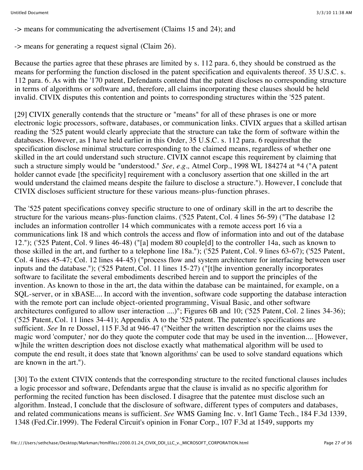-> means for communicating the advertisement (Claims 15 and 24); and

-> means for generating a request signal (Claim 26).

Because the parties agree that these phrases are limited by s. 112 para. 6, they should be construed as the means for performing the function disclosed in the patent specification and equivalents thereof. 35 U.S.C. s. 112 para. 6. As with the '170 patent, Defendants contend that the patent discloses no corresponding structure in terms of algorithms or software and, therefore, all claims incorporating these clauses should be held invalid. CIVIX disputes this contention and points to corresponding structures within the '525 patent.

[29] CIVIX generally contends that the structure or "means" for all of these phrases is one or more electronic logic processors, software, databases, or communication links. CIVIX argues that a skilled artisan reading the '525 patent would clearly appreciate that the structure can take the form of software within the databases. However, as I have held earlier in this Order, 35 U.S.C. s. 112 para. 6 requiresthat the specification disclose minimal structure corresponding to the claimed means, regardless of whether one skilled in the art could understand such structure. CIVIX cannot escape this requirement by claiming that such a structure simply would be "understood." *See, e.g.,* Atmel Corp., 1998 WL 184274 at \*4 ("A patent holder cannot evade [the specificity] requirement with a conclusory assertion that one skilled in the art would understand the claimed means despite the failure to disclose a structure."). However, I conclude that CIVIX discloses sufficient structure for these various means-plus-function phrases.

The '525 patent specifications convey specific structure to one of ordinary skill in the art to describe the structure for the various means-plus-function claims. ('525 Patent, Col. 4 lines 56-59) ("The database 12 includes an information controller 14 which communicates with a remote access port 16 via a communications link 18 and which controls the access and flow of information into and out of the database 12."); ('525 Patent, Col. 9 lines 46-48) ("[a] modem 80 couple[d] to the controller 14a, such as known to those skilled in the art, and further to a telephone line 18a."); ('525 Patent, Col. 9 lines 63-67); ('525 Patent, Col. 4 lines 45-47; Col. 12 lines 44-45) ("process flow and system architecture for interfacing between user inputs and the database."); ('525 Patent, Col. 11 lines 15-27) ("[t]he invention generally incorporates software to facilitate the several embodiments described herein and to support the principles of the invention. As known to those in the art, the data within the database can be maintained, for example, on a SQL-server, or in xBASE.... In accord with the invention, software code supporting the database interaction with the remote port can include object-oriented programming, Visual Basic, and other software architectures configured to allow user interaction ....)"; Figures 6B and 10; ('525 Patent, Col. 2 lines 34-36); ('525 Patent, Col. 11 lines 34-41); Appendix A to the '525 patent. The patentee's specifications are sufficient. *See* In re Dossel, 115 F.3d at 946-47 ("Neither the written description nor the claims uses the magic word 'computer,' nor do they quote the computer code that may be used in the invention.... [However, w]hile the written description does not disclose exactly what mathematical algorithm will be used to compute the end result, it does state that 'known algorithms' can be used to solve standard equations which are known in the art.").

[30] To the extent CIVIX contends that the corresponding structure to the recited functional clauses includes a logic processor and software, Defendants argue that the clause is invalid as no specific algorithm for performing the recited function has been disclosed. I disagree that the patentee must disclose such an algorithm. Instead, I conclude that the disclosure of software, different types of computers and databases, and related communications means is sufficient. *See* WMS Gaming Inc. v. Int'l Game Tech., 184 F.3d 1339, 1348 (Fed.Cir.1999). The Federal Circuit's opinion in Fonar Corp., 107 F.3d at 1549, supports my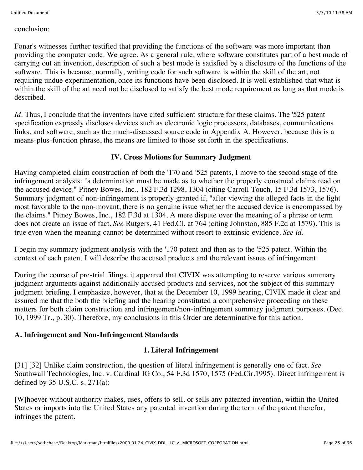conclusion:

Fonar's witnesses further testified that providing the functions of the software was more important than providing the computer code. We agree. As a general rule, where software constitutes part of a best mode of carrying out an invention, description of such a best mode is satisfied by a disclosure of the functions of the software. This is because, normally, writing code for such software is within the skill of the art, not requiring undue experimentation, once its functions have been disclosed. It is well established that what is within the skill of the art need not be disclosed to satisfy the best mode requirement as long as that mode is described.

*Id.* Thus, I conclude that the inventors have cited sufficient structure for these claims. The '525 patent specification expressly discloses devices such as electronic logic processors, databases, communications links, and software, such as the much-discussed source code in Appendix A. However, because this is a means-plus-function phrase, the means are limited to those set forth in the specifications.

### **IV. Cross Motions for Summary Judgment**

Having completed claim construction of both the '170 and '525 patents, I move to the second stage of the infringement analysis: "a determination must be made as to whether the properly construed claims read on the accused device." Pitney Bowes, Inc., 182 F.3d 1298, 1304 (citing Carroll Touch, 15 F.3d 1573, 1576). Summary judgment of non-infringement is properly granted if, "after viewing the alleged facts in the light most favorable to the non-movant, there is no genuine issue whether the accused device is encompassed by the claims." Pitney Bowes, Inc., 182 F.3d at 1304. A mere dispute over the meaning of a phrase or term does not create an issue of fact. *See* Rutgers, 41 Fed.Cl. at 764 (citing Johnston, 885 F.2d at 1579). This is true even when the meaning cannot be determined without resort to extrinsic evidence. *See id.*

I begin my summary judgment analysis with the '170 patent and then as to the '525 patent. Within the context of each patent I will describe the accused products and the relevant issues of infringement.

During the course of pre-trial filings, it appeared that CIVIX was attempting to reserve various summary judgment arguments against additionally accused products and services, not the subject of this summary judgment briefing. I emphasize, however, that at the December 10, 1999 hearing, CIVIX made it clear and assured me that the both the briefing and the hearing constituted a comprehensive proceeding on these matters for both claim construction and infringement/non-infringement summary judgment purposes. (Dec. 10, 1999 Tr., p. 30). Therefore, my conclusions in this Order are determinative for this action.

#### **A. Infringement and Non-Infringement Standards**

## **1. Literal Infringement**

[31] [32] Unlike claim construction, the question of literal infringement is generally one of fact. *See* Southwall Technologies, Inc. v. Cardinal IG Co., 54 F.3d 1570, 1575 (Fed.Cir.1995). Direct infringement is defined by 35 U.S.C. s. 271(a):

[W]hoever without authority makes, uses, offers to sell, or sells any patented invention, within the United States or imports into the United States any patented invention during the term of the patent therefor, infringes the patent.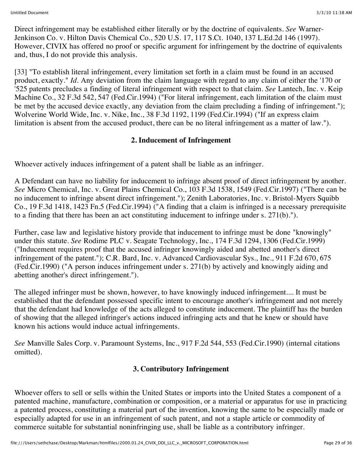Direct infringement may be established either literally or by the doctrine of equivalents. *See* Warner-Jenkinson Co. v. Hilton Davis Chemical Co., 520 U.S. 17, 117 S.Ct. 1040, 137 L.Ed.2d 146 (1997). However, CIVIX has offered no proof or specific argument for infringement by the doctrine of equivalents and, thus, I do not provide this analysis.

[33] "To establish literal infringement, every limitation set forth in a claim must be found in an accused product, exactly." *Id.* Any deviation from the claim language with regard to any claim of either the '170 or '525 patents precludes a finding of literal infringement with respect to that claim. *See* Lantech, Inc. v. Keip Machine Co., 32 F.3d 542, 547 (Fed.Cir.1994) ("For literal infringement, each limitation of the claim must be met by the accused device exactly, any deviation from the claim precluding a finding of infringement."); Wolverine World Wide, Inc. v. Nike, Inc., 38 F.3d 1192, 1199 (Fed.Cir.1994) ("If an express claim limitation is absent from the accused product, there can be no literal infringement as a matter of law.").

## **2. Inducement of Infringement**

Whoever actively induces infringement of a patent shall be liable as an infringer.

A Defendant can have no liability for inducement to infringe absent proof of direct infringement by another. *See* Micro Chemical, Inc. v. Great Plains Chemical Co., 103 F.3d 1538, 1549 (Fed.Cir.1997) ("There can be no inducement to infringe absent direct infringement."); Zenith Laboratories, Inc. v. Bristol-Myers Squibb Co., 19 F.3d 1418, 1423 Fn.5 (Fed.Cir.1994) ("A finding that a claim is infringed is a necessary prerequisite to a finding that there has been an act constituting inducement to infringe under s. 271(b).").

Further, case law and legislative history provide that inducement to infringe must be done "knowingly" under this statute. *See* Rodime PLC v. Seagate Technology, Inc., 174 F.3d 1294, 1306 (Fed.Cir.1999) ("Inducement requires proof that the accused infringer knowingly aided and abetted another's direct infringement of the patent."); C.R. Bard, Inc. v. Advanced Cardiovascular Sys., Inc., 911 F.2d 670, 675 (Fed.Cir.1990) ("A person induces infringement under s. 271(b) by actively and knowingly aiding and abetting another's direct infringement.").

The alleged infringer must be shown, however, to have knowingly induced infringement.... It must be established that the defendant possessed specific intent to encourage another's infringement and not merely that the defendant had knowledge of the acts alleged to constitute inducement. The plaintiff has the burden of showing that the alleged infringer's actions induced infringing acts and that he knew or should have known his actions would induce actual infringements.

*See* Manville Sales Corp. v. Paramount Systems, Inc., 917 F.2d 544, 553 (Fed.Cir.1990) (internal citations omitted).

## **3. Contributory Infringement**

Whoever offers to sell or sells within the United States or imports into the United States a component of a patented machine, manufacture, combination or composition, or a material or apparatus for use in practicing a patented process, constituting a material part of the invention, knowing the same to be especially made or especially adapted for use in an infringement of such patent, and not a staple article or commodity of commerce suitable for substantial noninfringing use, shall be liable as a contributory infringer.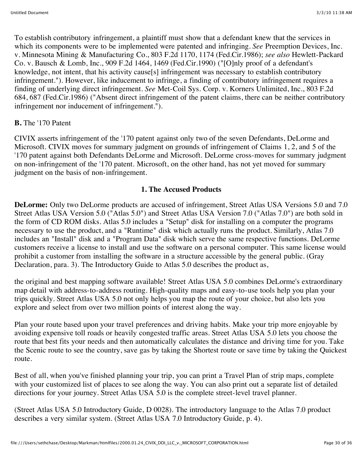To establish contributory infringement, a plaintiff must show that a defendant knew that the services in which its components were to be implemented were patented and infringing. *See* Preemption Devices, Inc. v. Minnesota Mining & Manufacturing Co., 803 F.2d 1170, 1174 (Fed.Cir.1986); *see also* Hewlett-Packard Co. v. Bausch & Lomb, Inc., 909 F.2d 1464, 1469 (Fed.Cir.1990) ("[O]nly proof of a defendant's knowledge, not intent, that his activity cause[s] infringement was necessary to establish contributory infringement."). However, like inducement to infringe, a finding of contributory infringement requires a finding of underlying direct infringement. *See* Met-Coil Sys. Corp. v. Korners Unlimited, Inc., 803 F.2d 684, 687 (Fed.Cir.1986) ("Absent direct infringement of the patent claims, there can be neither contributory infringement nor inducement of infringement.").

### **B.** The '170 Patent

CIVIX asserts infringement of the '170 patent against only two of the seven Defendants, DeLorme and Microsoft. CIVIX moves for summary judgment on grounds of infringement of Claims 1, 2, and 5 of the '170 patent against both Defendants DeLorme and Microsoft. DeLorme cross-moves for summary judgment on non-infringement of the '170 patent. Microsoft, on the other hand, has not yet moved for summary judgment on the basis of non-infringement.

#### **1. The Accused Products**

**DeLorme:** Only two DeLorme products are accused of infringement, Street Atlas USA Versions 5.0 and 7.0 Street Atlas USA Version 5.0 ("Atlas 5.0") and Street Atlas USA Version 7.0 ("Atlas 7.0") are both sold in the form of CD ROM disks. Atlas 5.0 includes a "Setup" disk for installing on a computer the programs necessary to use the product, and a "Runtime" disk which actually runs the product. Similarly, Atlas 7.0 includes an "Install" disk and a "Program Data" disk which serve the same respective functions. DeLorme customers receive a license to install and use the software on a personal computer. This same license would prohibit a customer from installing the software in a structure accessible by the general public. (Gray Declaration, para. 3). The Introductory Guide to Atlas 5.0 describes the product as,

the original and best mapping software available! Street Atlas USA 5.0 combines DeLorme's extraordinary map detail with address-to-address routing. High-quality maps and easy-to-use tools help you plan your trips quickly. Street Atlas USA 5.0 not only helps you map the route of your choice, but also lets you explore and select from over two million points of interest along the way.

Plan your route based upon your travel preferences and driving habits. Make your trip more enjoyable by avoiding expensive toll roads or heavily congested traffic areas. Street Atlas USA 5.0 lets you choose the route that best fits your needs and then automatically calculates the distance and driving time for you. Take the Scenic route to see the country, save gas by taking the Shortest route or save time by taking the Quickest route.

Best of all, when you've finished planning your trip, you can print a Travel Plan of strip maps, complete with your customized list of places to see along the way. You can also print out a separate list of detailed directions for your journey. Street Atlas USA 5.0 is the complete street-level travel planner.

(Street Atlas USA 5.0 Introductory Guide, D 0028). The introductory language to the Atlas 7.0 product describes a very similar system. (Street Atlas USA 7.0 Introductory Guide, p. 4).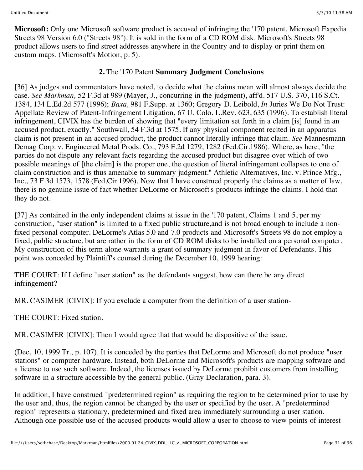**Microsoft:** Only one Microsoft software product is accused of infringing the '170 patent, Microsoft Expedia Streets 98 Version 6.0 ("Streets 98"). It is sold in the form of a CD ROM disk. Microsoft's Streets 98 product allows users to find street addresses anywhere in the Country and to display or print them on custom maps. (Microsoft's Motion, p. 5).

### **2.** The '170 Patent **Summary Judgment Conclusions**

[36] As judges and commentators have noted, to decide what the claims mean will almost always decide the case. *See Markman,* 52 F.3d at 989 (Mayer, J., concurring in the judgment), aff'd. 517 U.S. 370, 116 S.Ct. 1384, 134 L.Ed.2d 577 (1996); *Baxa,* 981 F.Supp. at 1360; Gregory D. Leibold, *In* Juries We Do Not Trust: Appellate Review of Patent-Infringement Litigation, 67 U. Colo. L.Rev. 623, 635 (1996). To establish literal infringement, CIVIX has the burden of showing that "every limitation set forth in a claim [is] found in an accused product, exactly." Southwall, 54 F.3d at 1575. If any physical component recited in an apparatus claim is not present in an accused product, the product cannot literally infringe that claim. *See* Mannesmann Demag Corp. v. Engineered Metal Prods. Co., 793 F.2d 1279, 1282 (Fed.Cir.1986). Where, as here, "the parties do not dispute any relevant facts regarding the accused product but disagree over which of two possible meanings of [the claim] is the proper one, the question of literal infringement collapses to one of claim construction and is thus amenable to summary judgment." Athletic Alternatives, Inc. v. Prince Mfg., Inc., 73 F.3d 1573, 1578 (Fed.Cir.1996). Now that I have construed properly the claims as a matter of law, there is no genuine issue of fact whether DeLorme or Microsoft's products infringe the claims. I hold that they do not.

[37] As contained in the only independent claims at issue in the '170 patent, Claims 1 and 5, per my construction, "user station" is limited to a fixed public structure,and is not broad enough to include a nonfixed personal computer. DeLorme's Atlas 5.0 and 7.0 products and Microsoft's Streets 98 do not employ a fixed, public structure, but are rather in the form of CD ROM disks to be installed on a personal computer. My construction of this term alone warrants a grant of summary judgment in favor of Defendants. This point was conceded by Plaintiff's counsel during the December 10, 1999 hearing:

THE COURT: If I define "user station" as the defendants suggest, how can there be any direct infringement?

MR. CASIMER [CIVIX]: If you exclude a computer from the definition of a user station-

THE COURT: Fixed station.

MR. CASIMER [CIVIX]: Then I would agree that that would be dispositive of the issue.

(Dec. 10, 1999 Tr., p. 107). It is conceded by the parties that DeLorme and Microsoft do not produce "user stations" or computer hardware. Instead, both DeLorme and Microsoft's products are mapping software and a license to use such software. Indeed, the licenses issued by DeLorme prohibit customers from installing software in a structure accessible by the general public. (Gray Declaration, para. 3).

In addition, I have construed "predetermined region" as requiring the region to be determined prior to use by the user and, thus, the region cannot be changed by the user or specified by the user. A "predetermined region" represents a stationary, predetermined and fixed area immediately surrounding a user station. Although one possible use of the accused products would allow a user to choose to view points of interest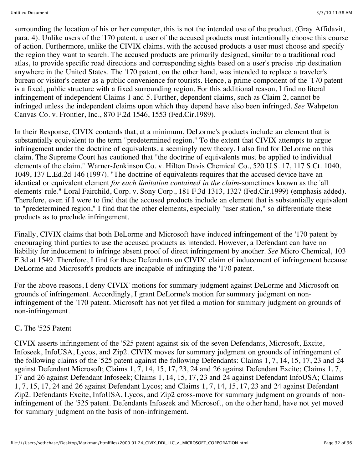surrounding the location of his or her computer, this is not the intended use of the product. (Gray Affidavit, para. 4). Unlike users of the '170 patent, a user of the accused products must intentionally choose this course of action. Furthermore, unlike the CIVIX claims, with the accused products a user must choose and specify the region they want to search. The accused products are primarily designed, similar to a traditional road atlas, to provide specific road directions and corresponding sights based on a user's precise trip destination anywhere in the United States. The '170 patent, on the other hand, was intended to replace a traveler's bureau or visitor's center as a public convenience for tourists. Hence, a prime component of the '170 patent is a fixed, public structure with a fixed surrounding region. For this additional reason, I find no literal infringement of independent Claims 1 and 5. Further, dependent claims, such as Claim 2, cannot be infringed unless the independent claims upon which they depend have also been infringed. *See* Wahpeton Canvas Co. v. Frontier, Inc., 870 F.2d 1546, 1553 (Fed.Cir.1989).

In their Response, CIVIX contends that, at a minimum, DeLorme's products include an element that is substantially equivalent to the term "predetermined region." To the extent that CIVIX attempts to argue infringement under the doctrine of equivalents, a seemingly new theory, I also find for DeLorme on this claim. The Supreme Court has cautioned that "the doctrine of equivalents must be applied to individual elements of the claim." Warner-Jenkinson Co. v. Hilton Davis Chemical Co., 520 U.S. 17, 117 S.Ct. 1040, 1049, 137 L.Ed.2d 146 (1997). "The doctrine of equivalents requires that the accused device have an identical or equivalent element *for each limitation contained in the claim*-sometimes known as the 'all elements' rule." Loral Fairchild, Corp. v. Sony Corp., 181 F.3d 1313, 1327 (Fed.Cir.1999) (emphasis added). Therefore, even if I were to find that the accused products include an element that is substantially equivalent to "predetermined region," I find that the other elements, especially "user station," so differentiate these products as to preclude infringement.

Finally, CIVIX claims that both DeLorme and Microsoft have induced infringement of the '170 patent by encouraging third parties to use the accused products as intended. However, a Defendant can have no liability for inducement to infringe absent proof of direct infringement by another. *See* Micro Chemical, 103 F.3d at 1549. Therefore, I find for these Defendants on CIVIX' claim of inducement of infringement because DeLorme and Microsoft's products are incapable of infringing the '170 patent.

For the above reasons, I deny CIVIX' motions for summary judgment against DeLorme and Microsoft on grounds of infringement. Accordingly, I grant DeLorme's motion for summary judgment on noninfringement of the '170 patent. Microsoft has not yet filed a motion for summary judgment on grounds of non-infringement.

#### **C.** The '525 Patent

CIVIX asserts infringement of the '525 patent against six of the seven Defendants, Microsoft, Excite, Infoseek, InfoUSA, Lycos, and Zip2. CIVIX moves for summary judgment on grounds of infringement of the following claims of the '525 patent against the following Defendants: Claims 1, 7, 14, 15, 17, 23 and 24 against Defendant Microsoft; Claims 1, 7, 14, 15, 17, 23, 24 and 26 against Defendant Excite; Claims 1, 7, 17 and 26 against Defendant Infoseek; Claims 1, 14, 15, 17, 23 and 24 against Defendant InfoUSA; Claims 1, 7, 15, 17, 24 and 26 against Defendant Lycos; and Claims 1, 7, 14, 15, 17, 23 and 24 against Defendant Zip2. Defendants Excite, InfoUSA, Lycos, and Zip2 cross-move for summary judgment on grounds of noninfringement of the '525 patent. Defendants Infoseek and Microsoft, on the other hand, have not yet moved for summary judgment on the basis of non-infringement.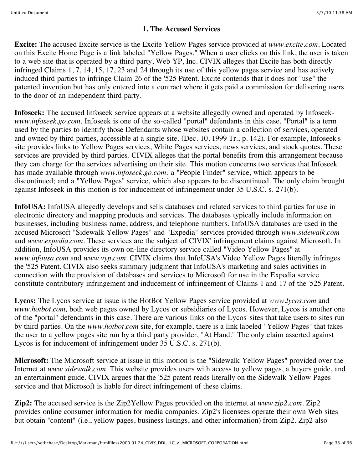#### **1. The Accused Services**

**Excite:** The accused Excite service is the Excite Yellow Pages service provided at *www.excite.com.* Located on this Excite Home Page is a link labeled "Yellow Pages." When a user clicks on this link, the user is taken to a web site that is operated by a third party, Web YP, Inc. CIVIX alleges that Excite has both directly infringed Claims 1, 7, 14, 15, 17, 23 and 24 through its use of this yellow pages service and has actively induced third parties to infringe Claim 26 of the '525 Patent. Excite contends that it does not "use" the patented invention but has only entered into a contract where it gets paid a commission for delivering users to the door of an independent third party.

**Infoseek:** The accused Infoseek service appears at a website allegedly owned and operated by Infoseek*www.infoseek.go.com.* Infoseek is one of the so-called "portal" defendants in this case. "Portal" is a term used by the parties to identify those Defendants whose websites contain a collection of services, operated and owned by third parties, accessible at a single site. (Dec. 10, 1999 Tr., p. 142). For example, Infoseek's site provides links to Yellow Pages services, White Pages services, news services, and stock quotes. These services are provided by third parties. CIVIX alleges that the portal benefits from this arrangement because they can charge for the services advertising on their site. This motion concerns two services that Infoseek has made available through *www.infoseek.go.com:* a "People Finder" service, which appears to be discontinued; and a "Yellow Pages" service, which also appears to be discontinued. The only claim brought against Infoseek in this motion is for inducement of infringement under 35 U.S.C. s. 271(b).

**InfoUSA:** InfoUSA allegedly develops and sells databases and related services to third parties for use in electronic directory and mapping products and services. The databases typically include information on businesses, including business name, address, and telephone numbers. InfoUSA databases are used in the accused Microsoft "Sidewalk Yellow Pages" and "Expedia" services provided through *www.sidewalk.com* and *www.expedia.com.* These services are the subject of CIVIX' infringement claims against Microsoft. In addition, InfoUSA provides its own on-line directory service called "Video Yellow Pages" at *www.infousa.com* and *www.vyp.com.* CIVIX claims that InfoUSA's Video Yellow Pages literally infringes the '525 Patent. CIVIX also seeks summary judgment that InfoUSA's marketing and sales activities in connection with the provision of databases and services to Microsoft for use in the Expedia service constitute contributory infringement and inducement of infringement of Claims 1 and 17 of the '525 Patent.

**Lycos:** The Lycos service at issue is the HotBot Yellow Pages service provided at *www.lycos.com* and *www.hotbot.com,* both web pages owned by Lycos or subsidiaries of Lycos. However, Lycos is another one of the "portal" defendants in this case. There are various links on the Lycos' sites that take users to sites run by third parties. On the *www.hotbot.com* site, for example, there is a link labeled "Yellow Pages" that takes the user to a yellow pages site run by a third party provider, "At Hand." The only claim asserted against Lycos is for inducement of infringement under 35 U.S.C. s. 271(b).

**Microsoft:** The Microsoft service at issue in this motion is the "Sidewalk Yellow Pages" provided over the Internet at *www.sidewalk.com.* This website provides users with access to yellow pages, a buyers guide, and an entertainment guide. CIVIX argues that the '525 patent reads literally on the Sidewalk Yellow Pages service and that Microsoft is liable for direct infringement of these claims.

**Zip2:** The accused service is the Zip2Yellow Pages provided on the internet at *www.zip2.com.* Zip2 provides online consumer information for media companies. Zip2's licensees operate their own Web sites but obtain "content" (i.e., yellow pages, business listings, and other information) from Zip2. Zip2 also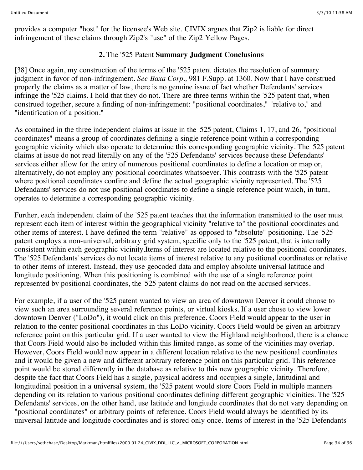provides a computer "host" for the licensee's Web site. CIVIX argues that Zip2 is liable for direct infringement of these claims through Zip2's "use" of the Zip2 Yellow Pages.

### **2.** The '525 Patent **Summary Judgment Conclusions**

[38] Once again, my construction of the terms of the '525 patent dictates the resolution of summary judgment in favor of non-infringement. *See Baxa Corp.,* 981 F.Supp. at 1360. Now that I have construed properly the claims as a matter of law, there is no genuine issue of fact whether Defendants' services infringe the '525 claims. I hold that they do not. There are three terms within the '525 patent that, when construed together, secure a finding of non-infringement: "positional coordinates," "relative to," and "identification of a position."

As contained in the three independent claims at issue in the '525 patent, Claims 1, 17, and 26, "positional coordinates" means a group of coordinates defining a single reference point within a corresponding geographic vicinity which also operate to determine this corresponding geographic vicinity. The '525 patent claims at issue do not read literally on any of the '525 Defendants' services because these Defendants' services either allow for the entry of numerous positional coordinates to define a location or map or, alternatively, do not employ any positional coordinates whatsoever. This contrasts with the '525 patent where positional coordinates confine and define the actual geographic vicinity represented. The '525 Defendants' services do not use positional coordinates to define a single reference point which, in turn, operates to determine a corresponding geographic vicinity.

Further, each independent claim of the '525 patent teaches that the information transmitted to the user must represent each item of interest within the geographical vicinity "relative to" the positional coordinates and other items of interest. I have defined the term "relative" as opposed to "absolute" positioning. The '525 patent employs a non-universal, arbitrary grid system, specific only to the '525 patent, that is internally consistent within each geographic vicinity.Items of interest are located relative to the positional coordinates. The '525 Defendants' services do not locate items of interest relative to any positional coordinates or relative to other items of interest. Instead, they use geocoded data and employ absolute universal latitude and longitude positioning. When this positioning is combined with the use of a single reference point represented by positional coordinates, the '525 patent claims do not read on the accused services.

For example, if a user of the '525 patent wanted to view an area of downtown Denver it could choose to view such an area surrounding several reference points, or virtual kiosks. If a user chose to view lower downtown Denver ("LoDo"), it would click on this preference. Coors Field would appear to the user in relation to the center positional coordinates in this LoDo vicinity. Coors Field would be given an arbitrary reference point on this particular grid. If a user wanted to view the Highland neighborhood, there is a chance that Coors Field would also be included within this limited range, as some of the vicinities may overlap. However, Coors Field would now appear in a different location relative to the new positional coordinates and it would be given a new and different arbitrary reference point on this particular grid. This reference point would be stored differently in the database as relative to this new geographic vicinity. Therefore, despite the fact that Coors Field has a single, physical address and occupies a single, latitudinal and longitudinal position in a universal system, the '525 patent would store Coors Field in multiple manners depending on its relation to various positional coordinates defining different geographic vicinities. The '525 Defendants' services, on the other hand, use latitude and longitude coordinates that do not vary depending on "positional coordinates" or arbitrary points of reference. Coors Field would always be identified by its universal latitude and longitude coordinates and is stored only once. Items of interest in the '525 Defendants'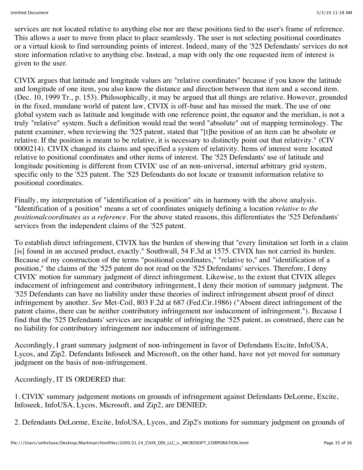services are not located relative to anything else nor are these positions tied to the user's frame of reference. This allows a user to move from place to place seamlessly. The user is not selecting positional coordinates or a virtual kiosk to find surrounding points of interest. Indeed, many of the '525 Defendants' services do not store information relative to anything else. Instead, a map with only the one requested item of interest is given to the user.

CIVIX argues that latitude and longitude values are "relative coordinates" because if you know the latitude and longitude of one item, you also know the distance and direction between that item and a second item. (Dec. 10, 1999 Tr., p. 153). Philosophically, it may be argued that all things are relative. However, grounded in the fixed, mundane world of patent law, CIVIX is off-base and has missed the mark. The use of one global system such as latitude and longitude with one reference point, the equator and the meridian, is not a truly "relative" system. Such a definition would read the word "absolute" out of mapping terminology. The patent examiner, when reviewing the '525 patent, stated that "[t]he position of an item can be absolute or relative. If the position is meant to be relative, it is necessary to distinctly point out that relativity." (CIV 0000214). CIVIX changed its claims and specified a system of relativity. Items of interest were located relative to positional coordinates and other items of interest. The '525 Defendants' use of latitude and longitude positioning is different from CIVIX' use of an non-universal, internal arbitrary grid system, specific only to the '525 patent. The '525 Defendants do not locate or transmit information relative to positional coordinates.

Finally, my interpretation of "identification of a position" sits in harmony with the above analysis. "Identification of a position" means a set of coordinates uniquely defining a location *relative to the positionalcoordinates as a reference.* For the above stated reasons, this differentiates the '525 Defendants' services from the independent claims of the '525 patent.

To establish direct infringement, CIVIX has the burden of showing that "every limitation set forth in a claim [is] found in an accused product, exactly." Southwall, 54 F.3d at 1575. CIVIX has not carried its burden. Because of my construction of the terms "positional coordinates," "relative to," and "identification of a position," the claims of the '525 patent do not read on the '525 Defendants' services. Therefore, I deny CIVIX' motion for summary judgment of direct infringement. Likewise, to the extent that CIVIX alleges inducement of infringement and contributory infringement, I deny their motion of summary judgment. The '525 Defendants can have no liability under these theories of indirect infringement absent proof of direct infringement by another. *See* Met-Coil, 803 F.2d at 687 (Fed.Cir.1986) ("Absent direct infringement of the patent claims, there can be neither contributory infringement nor inducement of infringement."). Because I find that the '525 Defendants' services are incapable of infringing the '525 patent, as construed, there can be no liability for contributory infringement nor inducement of infringement.

Accordingly, I grant summary judgment of non-infringement in favor of Defendants Excite, InfoUSA, Lycos, and Zip2. Defendants Infoseek and Microsoft, on the other hand, have not yet moved for summary judgment on the basis of non-infringement.

#### Accordingly, IT IS ORDERED that:

1. CIVIX' summary judgement motions on grounds of infringement against Defendants DeLorme, Excite, Infoseek, InfoUSA, Lycos, Microsoft, and Zip2, are DENIED;

2. Defendants DeLorme, Excite, InfoUSA, Lycos, and Zip2's motions for summary judgment on grounds of